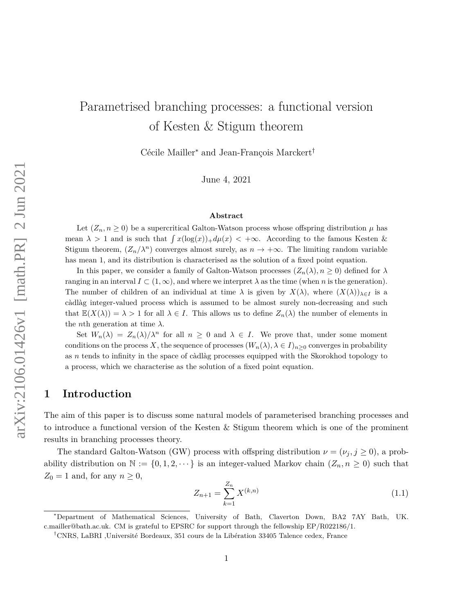# Parametrised branching processes: a functional version of Kesten & Stigum theorem

Cécile Mailler<sup>∗</sup> and Jean-François Marckert†

June 4, 2021

#### **Abstract**

Let  $(Z_n, n \geq 0)$  be a supercritical Galton-Watson process whose offspring distribution  $\mu$  has mean  $\lambda > 1$  and is such that  $\int x(\log(x))_+ d\mu(x) < +\infty$ . According to the famous Kesten & Stigum theorem,  $(Z_n/\lambda^n)$  converges almost surely, as  $n \to +\infty$ . The limiting random variable has mean 1, and its distribution is characterised as the solution of a fixed point equation.

In this paper, we consider a family of Galton-Watson processes  $(Z_n(\lambda), n \geq 0)$  defined for  $\lambda$ ranging in an interval  $I \subset (1,\infty)$ , and where we interpret  $\lambda$  as the time (when *n* is the generation). The number of children of an individual at time  $\lambda$  is given by  $X(\lambda)$ , where  $(X(\lambda))_{\lambda \in I}$  is a càdlàg integer-valued process which is assumed to be almost surely non-decreasing and such that  $\mathbb{E}(X(\lambda)) = \lambda > 1$  for all  $\lambda \in I$ . This allows us to define  $Z_n(\lambda)$  the number of elements in the *n*th generation at time  $\lambda$ .

Set  $W_n(\lambda) = Z_n(\lambda)/\lambda^n$  for all  $n \geq 0$  and  $\lambda \in I$ . We prove that, under some moment conditions on the process *X*, the sequence of processes  $(W_n(\lambda), \lambda \in I)_{n \geq 0}$  converges in probability as *n* tends to infinity in the space of càdlàg processes equipped with the Skorokhod topology to a process, which we characterise as the solution of a fixed point equation.

### **1 Introduction**

The aim of this paper is to discuss some natural models of parameterised branching processes and to introduce a functional version of the Kesten & Stigum theorem which is one of the prominent results in branching processes theory.

The standard Galton-Watson (GW) process with offspring distribution  $\nu = (\nu_j, j \ge 0)$ , a probability distribution on  $\mathbb{N} := \{0, 1, 2, \dots\}$  is an integer-valued Markov chain  $(Z_n, n \geq 0)$  such that  $Z_0 = 1$  and, for any  $n \geq 0$ ,

$$
Z_{n+1} = \sum_{k=1}^{Z_n} X^{(k,n)} \tag{1.1}
$$

<sup>∗</sup>Department of Mathematical Sciences, University of Bath, Claverton Down, BA2 7AY Bath, UK. c.mailler@bath.ac.uk. CM is grateful to EPSRC for support through the fellowship EP/R022186/1.

<sup>†</sup>CNRS, LaBRI ,Université Bordeaux, 351 cours de la Libération 33405 Talence cedex, France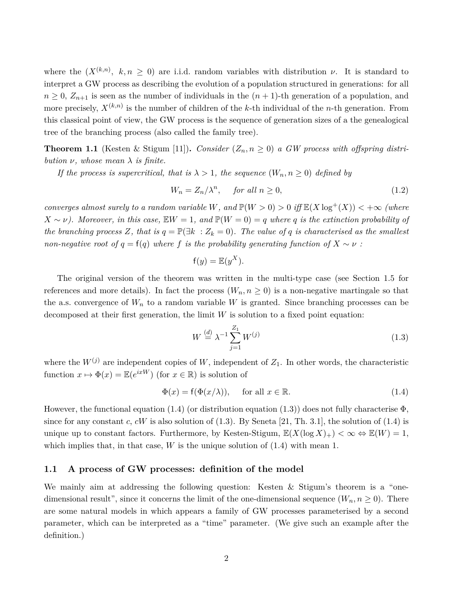where the  $(X^{(k,n)}, k, n \geq 0)$  are i.i.d. random variables with distribution *ν*. It is standard to interpret a GW process as describing the evolution of a population structured in generations: for all  $n \geq 0$ ,  $Z_{n+1}$  is seen as the number of individuals in the  $(n+1)$ -th generation of a population, and more precisely, *X*(*k,n*) is the number of children of the *k*-th individual of the *n*-th generation. From this classical point of view, the GW process is the sequence of generation sizes of a the genealogical tree of the branching process (also called the family tree).

**Theorem 1.1** (Kesten & Stigum [11]). *Consider*  $(Z_n, n \geq 0)$  *a GW process with offspring distribution*  $\nu$ *, whose mean*  $\lambda$  *is finite.* 

*If the process is supercritical, that is*  $\lambda > 1$ *, the sequence*  $(W_n, n \geq 0)$  *defined by* 

$$
W_n = Z_n / \lambda^n, \quad \text{for all } n \ge 0,
$$
\n
$$
(1.2)
$$

*converges almost surely to a random variable W, and*  $\mathbb{P}(W > 0) > 0$  *iff*  $\mathbb{E}(X \log^+(X)) < +\infty$  (where  $X \sim \nu$ ). Moreover, in this case,  $EW = 1$ , and  $P(W = 0) = q$  where q is the extinction probability of *the branching process*  $Z$ *, that is*  $q = \mathbb{P}(\exists k : Z_k = 0)$ *. The value of*  $q$  *is characterised as the smallest non-negative root of*  $q = f(q)$  *where*  $f$  *is the probability generating function of*  $X \sim \nu$ :

$$
f(y) = \mathbb{E}(y^X).
$$

The original version of the theorem was written in the multi-type case (see Section 1.5 for references and more details). In fact the process  $(W_n, n \geq 0)$  is a non-negative martingale so that the a.s. convergence of  $W_n$  to a random variable *W* is granted. Since branching processes can be decomposed at their first generation, the limit *W* is solution to a fixed point equation:

$$
W \stackrel{(d)}{=} \lambda^{-1} \sum_{j=1}^{Z_1} W^{(j)} \tag{1.3}
$$

where the  $W^{(j)}$  are independent copies of W, independent of  $Z_1$ . In other words, the characteristic function  $x \mapsto \Phi(x) = \mathbb{E}(e^{ixW})$  (for  $x \in \mathbb{R}$ ) is solution of

$$
\Phi(x) = f(\Phi(x/\lambda)), \quad \text{for all } x \in \mathbb{R}.
$$
 (1.4)

However, the functional equation (1.4) (or distribution equation (1.3)) does not fully characterise  $\Phi$ , since for any constant  $c$ ,  $cW$  is also solution of  $(1.3)$ . By Seneta [21, Th. 3.1], the solution of  $(1.4)$  is unique up to constant factors. Furthermore, by Kesten-Stigum,  $\mathbb{E}(X(\log X)_+) < \infty \Leftrightarrow \mathbb{E}(W) = 1$ , which implies that, in that case,  $W$  is the unique solution of  $(1.4)$  with mean 1.

#### **1.1 A process of GW processes: definition of the model**

We mainly aim at addressing the following question: Kesten & Stigum's theorem is a "onedimensional result", since it concerns the limit of the one-dimensional sequence  $(W_n, n \ge 0)$ . There are some natural models in which appears a family of GW processes parameterised by a second parameter, which can be interpreted as a "time" parameter. (We give such an example after the definition.)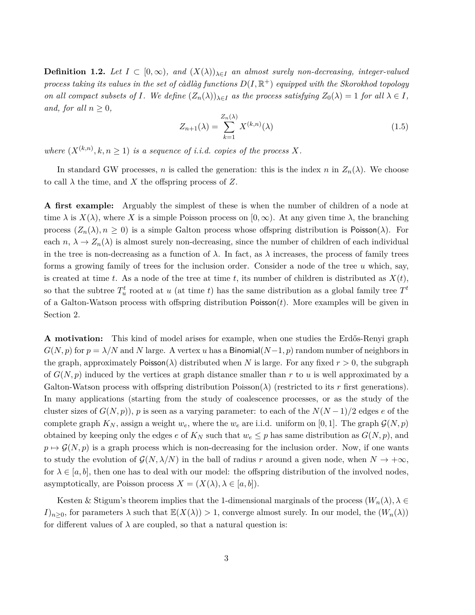**Definition 1.2.** *Let*  $I \subset [0,\infty)$ *, and*  $(X(\lambda))_{\lambda \in I}$  *an almost surely non-decreasing, integer-valued*  $p$ rocess taking its values in the set of càdlàg functions  $D(I,\mathbb{R}^+)$  equipped with the Skorokhod topology *on all compact subsets of I. We define*  $(Z_n(\lambda))_{\lambda \in I}$  *as the process satisfying*  $Z_0(\lambda) = 1$  *for all*  $\lambda \in I$ *, and, for all*  $n \geq 0$ *,* 

$$
Z_{n+1}(\lambda) = \sum_{k=1}^{Z_n(\lambda)} X^{(k,n)}(\lambda)
$$
\n(1.5)

*where*  $(X^{(k,n)}, k, n \ge 1)$  *is a sequence of i.i.d. copies of the process* X.

In standard GW processes, *n* is called the generation: this is the index *n* in  $Z_n(\lambda)$ . We choose to call  $\lambda$  the time, and X the offspring process of Z.

**A first example:** Arguably the simplest of these is when the number of children of a node at time  $\lambda$  is  $X(\lambda)$ , where X is a simple Poisson process on  $[0, \infty)$ . At any given time  $\lambda$ , the branching process  $(Z_n(\lambda), n \geq 0)$  is a simple Galton process whose offspring distribution is Poisson( $\lambda$ ). For each  $n, \lambda \to Z_n(\lambda)$  is almost surely non-decreasing, since the number of children of each individual in the tree is non-decreasing as a function of  $\lambda$ . In fact, as  $\lambda$  increases, the process of family trees forms a growing family of trees for the inclusion order. Consider a node of the tree *u* which, say, is created at time *t*. As a node of the tree at time *t*, its number of children is distributed as  $X(t)$ , so that the subtree  $T_u^t$  rooted at *u* (at time *t*) has the same distribution as a global family tree  $T_t^t$ of a Galton-Watson process with offspring distribution Poisson(*t*). More examples will be given in Section 2.

**A motivation:** This kind of model arises for example, when one studies the Erdős-Renyi graph  $G(N, p)$  for  $p = \lambda/N$  and *N* large. A vertex *u* has a Binomial $(N-1, p)$  random number of neighbors in the graph, approximately Poisson( $\lambda$ ) distributed when *N* is large. For any fixed  $r > 0$ , the subgraph of *G*(*N, p*) induced by the vertices at graph distance smaller than *r* to *u* is well approximated by a Galton-Watson process with offspring distribution  $Poisson(\lambda)$  (restricted to its r first generations). In many applications (starting from the study of coalescence processes, or as the study of the cluster sizes of  $G(N, p)$ , *p* is seen as a varying parameter: to each of the  $N(N-1)/2$  edges *e* of the complete graph  $K_N$ , assign a weight  $w_e$ , where the  $w_e$  are i.i.d. uniform on [0, 1]. The graph  $\mathcal{G}(N, p)$ obtained by keeping only the edges *e* of  $K_N$  such that  $w_e \leq p$  has same distribution as  $G(N, p)$ , and  $p \mapsto \mathcal{G}(N, p)$  is a graph process which is non-decreasing for the inclusion order. Now, if one wants to study the evolution of  $\mathcal{G}(N, \lambda/N)$  in the ball of radius r around a given node, when  $N \to +\infty$ , for  $\lambda \in [a, b]$ , then one has to deal with our model: the offspring distribution of the involved nodes, asymptotically, are Poisson process  $X = (X(\lambda), \lambda \in [a, b])$ .

Kesten & Stigum's theorem implies that the 1-dimensional marginals of the process  $(W_n(\lambda), \lambda \in$ *I*)<sub>*n*>0</sub>, for parameters  $\lambda$  such that  $\mathbb{E}(X(\lambda)) > 1$ , converge almost surely. In our model, the  $(W_n(\lambda))$ for different values of  $\lambda$  are coupled, so that a natural question is: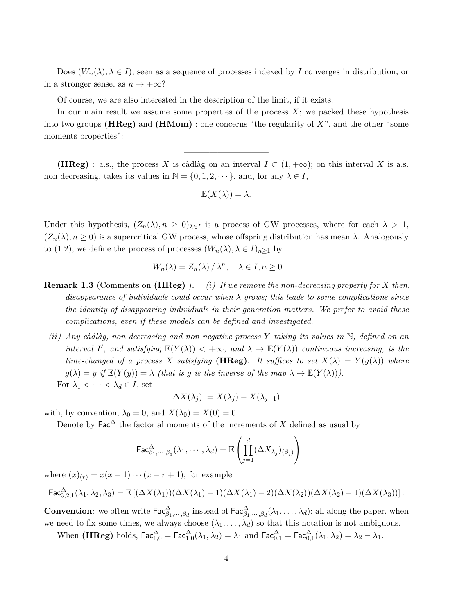Does  $(W_n(\lambda), \lambda \in I)$ , seen as a sequence of processes indexed by *I* converges in distribution, or in a stronger sense, as  $n \to +\infty$ ?

Of course, we are also interested in the description of the limit, if it exists.

In our main result we assume some properties of the process *X*; we packed these hypothesis into two groups **(HReg)** and **(HMom)** ; one concerns "the regularity of *X*", and the other "some moments properties":

**(HReg)** : a.s., the process X is càdlàg on an interval  $I \subset (1, +\infty)$ ; on this interval X is a.s. non decreasing, takes its values in  $\mathbb{N} = \{0, 1, 2, \dots\}$ , and, for any  $\lambda \in I$ ,

————————————————————

$$
\mathbb{E}(X(\lambda)) = \lambda.
$$

——————————

Under this hypothesis,  $(Z_n(\lambda), n \geq 0)_{\lambda \in I}$  is a process of GW processes, where for each  $\lambda > 1$ ,  $(Z_n(\lambda), n \geq 0)$  is a supercritical GW process, whose offspring distribution has mean  $\lambda$ . Analogously to (1.2), we define the process of processes  $(W_n(\lambda), \lambda \in I)_{n>1}$  by

$$
W_n(\lambda) = Z_n(\lambda) / \lambda^n, \quad \lambda \in I, n \ge 0.
$$

- **Remark 1.3** (Comments on **(HReg)** )**.** *(i) If we remove the non-decreasing property for X then, disappearance of individuals could occur when λ grows; this leads to some complications since the identity of disappearing individuals in their generation matters. We prefer to avoid these complications, even if these models can be defined and investigated.*
- *(ii) Any càdlàg, non decreasing and non negative process Y taking its values in* N*, defined on an interval I*<sup>'</sup>, and satisfying  $\mathbb{E}(Y(\lambda)) < +\infty$ , and  $\lambda \to \mathbb{E}(Y(\lambda))$  *continuous increasing, is the time-changed of a process X satisfying* (HReg). It suffices to set  $X(\lambda) = Y(g(\lambda))$  where  $g(\lambda) = y$  *if*  $\mathbb{E}(Y(y)) = \lambda$  *(that is g is the inverse of the map*  $\lambda \mapsto \mathbb{E}(Y(\lambda))$ *).* For  $\lambda_1 < \cdots < \lambda_d \in I$ , set

$$
\Delta X(\lambda_j) := X(\lambda_j) - X(\lambda_{j-1})
$$

with, by convention,  $\lambda_0 = 0$ , and  $X(\lambda_0) = X(0) = 0$ .

Denote by  $\mathsf{Fac}^{\Delta}$  the factorial moments of the increments of *X* defined as usual by

$$
\mathsf{Fac}_{\beta_1,\cdots,\beta_d}^{\Delta}(\lambda_1,\cdots,\lambda_d)=\mathbb{E}\left(\prod_{j=1}^d(\Delta X_{\lambda_j})_{(\beta_j)}\right)
$$

where  $(x)_{(r)} = x(x-1)\cdots(x-r+1)$ ; for example

$$
\mathsf{Fac}^{\Delta}_{3,2,1}(\lambda_1,\lambda_2,\lambda_3) = \mathbb{E}\left[ (\Delta X(\lambda_1))(\Delta X(\lambda_1) - 1)(\Delta X(\lambda_1) - 2)(\Delta X(\lambda_2))(\Delta X(\lambda_2) - 1)(\Delta X(\lambda_3))\right].
$$

**Convention**: we often write  $\mathsf{Fac}^{\Delta}_{\beta_1,\cdots,\beta_d}$  instead of  $\mathsf{Fac}^{\Delta}_{\beta_1,\cdots,\beta_d}(\lambda_1,\ldots,\lambda_d)$ ; all along the paper, when we need to fix some times, we always choose  $(\lambda_1, \ldots, \lambda_d)$  so that this notation is not ambiguous.

When  $(\textbf{HReg})$  holds,  $\textsf{Fac}^{\Delta}_{1,0} = \textsf{Fac}^{\Delta}_{1,0}(\lambda_1, \lambda_2) = \lambda_1$  and  $\textsf{Fac}^{\Delta}_{0,1} = \textsf{Fac}^{\Delta}_{0,1}(\lambda_1, \lambda_2) = \lambda_2 - \lambda_1$ .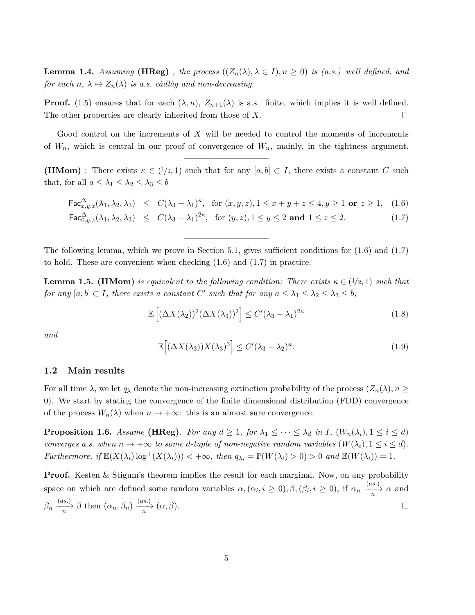**Lemma 1.4.** *Assuming* **(HReg)** *, the process*  $((Z_n(\lambda), \lambda \in I), n \ge 0)$  *is (a.s.) well defined, and for each*  $n, \lambda \mapsto Z_n(\lambda)$  *is a.s. càdlàg and non-decreasing.* 

**Proof.** (1.5) ensures that for each  $(\lambda, n)$ ,  $Z_{n+1}(\lambda)$  is a.s. finite, which implies it is well defined. The other properties are clearly inherited from those of *X*.  $\Box$ 

Good control on the increments of *X* will be needed to control the moments of increments of  $W_n$ , which is central in our proof of convergence of  $W_n$ , mainly, in the tightness argument.

——————————

**(HMom)** : There exists  $\kappa \in (1/2, 1)$  such that for any  $[a, b] \subset I$ , there exists a constant *C* such that, for all  $a \leq \lambda_1 \leq \lambda_2 \leq \lambda_3 \leq b$ 

$$
\mathsf{Fac}^{\Delta}_{x,y,z}(\lambda_1, \lambda_2, \lambda_3) \leq C(\lambda_3 - \lambda_1)^{\kappa}, \text{ for } (x, y, z), 1 \leq x + y + z \leq 4, y \geq 1 \text{ or } z \geq 1, \quad (1.6)
$$
  

$$
\mathsf{Fac}^{\Delta}_{0,y,z}(\lambda_1, \lambda_2, \lambda_3) \leq C(\lambda_3 - \lambda_1)^{2\kappa}, \text{ for } (y, z), 1 \leq y \leq 2 \text{ and } 1 \leq z \leq 2. \quad (1.7)
$$

The following lemma, which we prove in Section 5.1, gives sufficient conditions for 
$$
(1.6)
$$
 and  $(1.7)$  to hold. These are convenient when checking  $(1.6)$  and  $(1.7)$  in practice.

——————————

**Lemma 1.5. (HMom)** *is equivalent to the following condition: There exists*  $\kappa \in (1/2, 1)$  *such that for any*  $[a, b] \subset I$ *, there exists a constant C*' such that for any  $a \leq \lambda_1 \leq \lambda_2 \leq \lambda_3 \leq b$ ,

$$
\mathbb{E}\left[ (\Delta X(\lambda_2))^2 (\Delta X(\lambda_3))^2 \right] \le C' (\lambda_3 - \lambda_1)^{2\kappa} \tag{1.8}
$$

*and*

$$
\mathbb{E}\Big[(\Delta X(\lambda_3))X(\lambda_3)^3\Big] \le C'(\lambda_3 - \lambda_2)^{\kappa}.\tag{1.9}
$$

#### **1.2 Main results**

For all time  $\lambda$ , we let  $q_\lambda$  denote the non-increasing extinction probability of the process  $(Z_n(\lambda), n \geq$ 0). We start by stating the convergence of the finite dimensional distribution (FDD) convergence of the process  $W_n(\lambda)$  when  $n \to +\infty$ : this is an almost sure convergence.

**Proposition 1.6.** Assume (HReg). For any  $d \geq 1$ , for  $\lambda_1 \leq \cdots \leq \lambda_d$  in I,  $(W_n(\lambda_i), 1 \leq i \leq d)$ *converges a.s. when*  $n \to +\infty$  *to some d-tuple of non-negative random variables*  $(W(\lambda_i), 1 \leq i \leq d)$ *.* Furthermore, if  $\mathbb{E}(X(\lambda_i)\log^+(X(\lambda_i))) < +\infty$ , then  $q_{\lambda_i} = \mathbb{P}(W(\lambda_i) > 0) > 0$  and  $\mathbb{E}(W(\lambda_i)) = 1$ .

**Proof.** Kesten & Stigum's theorem implies the result for each marginal. Now, on any probability space on which are defined some random variables  $\alpha, (\alpha_i, i \ge 0), \beta, (\beta_i, i \ge 0)$ , if  $\alpha_n \xrightarrow[n]{(as.)} \alpha$  and  $\beta_n \xrightarrow[n]{(as.)} \beta \text{ then } (\alpha_n, \beta_n) \xrightarrow[n]{(as.)} (\alpha, \beta).$  $\Box$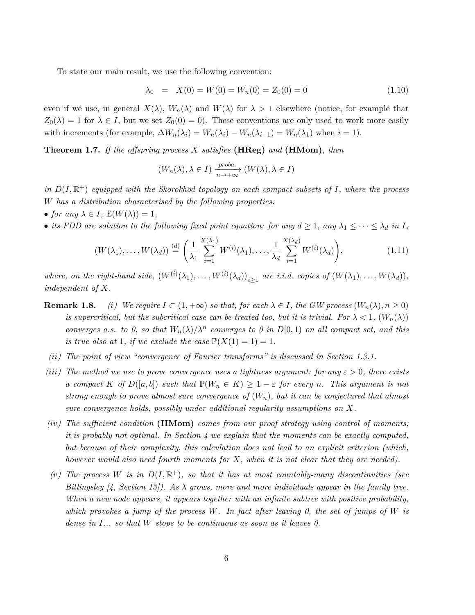To state our main result, we use the following convention:

$$
\lambda_0 = X(0) = W(0) = W_n(0) = Z_0(0) = 0 \tag{1.10}
$$

even if we use, in general  $X(\lambda)$ ,  $W_n(\lambda)$  and  $W(\lambda)$  for  $\lambda > 1$  elsewhere (notice, for example that  $Z_0(\lambda) = 1$  for  $\lambda \in I$ , but we set  $Z_0(0) = 0$ . These conventions are only used to work more easily with increments (for example,  $\Delta W_n(\lambda_i) = W_n(\lambda_i) - W_n(\lambda_{i-1}) = W_n(\lambda_1)$  when  $i = 1$ ).

**Theorem 1.7.** *If the offspring process X satisfies* **(HReg)** *and* **(HMom)***, then*

$$
(W_n(\lambda), \lambda \in I) \xrightarrow[n \to +\infty]{\text{proba.}} (W(\lambda), \lambda \in I)
$$

*in*  $D(I, \mathbb{R}^+)$  *equipped with the Skorokhod topology on each compact subsets of I, where the process W has a distribution characterised by the following properties:*

• *for any*  $\lambda \in I$ ,  $\mathbb{E}(W(\lambda)) = 1$ ,

• *its FDD are solution to the following fixed point equation: for any*  $d \geq 1$ *, any*  $\lambda_1 \leq \cdots \leq \lambda_d$  *in I,* 

$$
(W(\lambda_1),\ldots,W(\lambda_d))\stackrel{(d)}{=} \left(\frac{1}{\lambda_1}\sum_{i=1}^{X(\lambda_1)}W^{(i)}(\lambda_1),\ldots,\frac{1}{\lambda_d}\sum_{i=1}^{X(\lambda_d)}W^{(i)}(\lambda_d)\right),\tag{1.11}
$$

where, on the right-hand side,  $(W^{(i)}(\lambda_1), \ldots, W^{(i)}(\lambda_d))_{i \geq 1}$  are i.i.d. copies of  $(W(\lambda_1), \ldots, W(\lambda_d))$ , *independent of X.*

- **Remark 1.8.** *(i) We require*  $I \subset (1, +\infty)$  *so that, for each*  $\lambda \in I$ *, the GW process*  $(W_n(\lambda), n \ge 0)$ *is supercritical, but the subcritical case can be treated too, but it is trivial. For*  $\lambda < 1$ ,  $(W_n(\lambda))$ *converges a.s. to 0, so that*  $W_n(\lambda)/\lambda^n$  *converges to 0 in*  $D[0,1)$  *on all compact set, and this is true also at* 1*, if we exclude the case*  $\mathbb{P}(X(1) = 1) = 1$ *.*
- *(ii) The point of view "convergence of Fourier transforms" is discussed in Section 1.3.1.*
- *(iii)* The method we use to prove convergence uses a tightness argument: for any  $\varepsilon > 0$ , there exists *a compact K of*  $D([a, b])$  *such that*  $\mathbb{P}(W_n \in K) \geq 1 - \varepsilon$  *for every n. This argument is not strong enough to prove almost sure convergence of* (*Wn*)*, but it can be conjectured that almost sure convergence holds, possibly under additional regularity assumptions on X.*
- *(iv) The sufficient condition* **(HMom)** *comes from our proof strategy using control of moments; it is probably not optimal. In Section 4 we explain that the moments can be exactly computed, but because of their complexity, this calculation does not lead to an explicit criterion (which, however would also need fourth moments for X, when it is not clear that they are needed).*
- (*v*) The process *W* is in  $D(I, \mathbb{R}^+)$ *, so that it has at most countably-many discontinuities (see Billingsley [4, Section 13]). As λ grows, more and more individuals appear in the family tree. When a new node appears, it appears together with an infinite subtree with positive probability, which provokes a jump of the process W. In fact after leaving 0, the set of jumps of W is dense in I... so that W stops to be continuous as soon as it leaves 0.*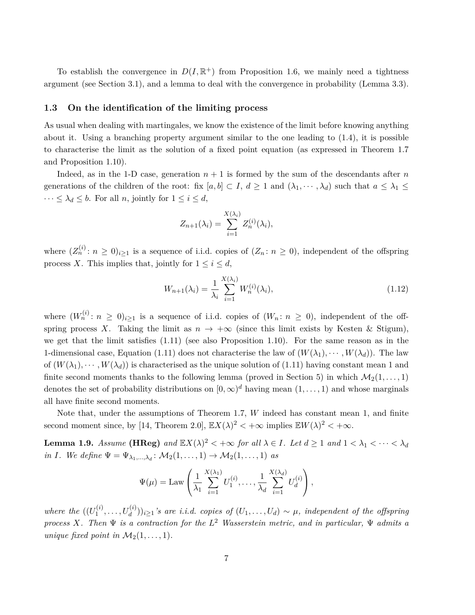To establish the convergence in  $D(I, \mathbb{R}^+)$  from Proposition 1.6, we mainly need a tightness argument (see Section 3.1), and a lemma to deal with the convergence in probability (Lemma 3.3).

#### **1.3 On the identification of the limiting process**

As usual when dealing with martingales, we know the existence of the limit before knowing anything about it. Using a branching property argument similar to the one leading to (1.4), it is possible to characterise the limit as the solution of a fixed point equation (as expressed in Theorem 1.7 and Proposition 1.10).

Indeed, as in the 1-D case, generation  $n + 1$  is formed by the sum of the descendants after *n* generations of the children of the root: fix  $[a, b] \subset I$ ,  $d \ge 1$  and  $(\lambda_1, \dots, \lambda_d)$  such that  $a \le \lambda_1 \le$  $\cdots \leq \lambda_d \leq b$ . For all *n*, jointly for  $1 \leq i \leq d$ ,

$$
Z_{n+1}(\lambda_i) = \sum_{i=1}^{X(\lambda_i)} Z_n^{(i)}(\lambda_i),
$$

where  $(Z_n^{(i)}: n \geq 0)_{i \geq 1}$  is a sequence of i.i.d. copies of  $(Z_n: n \geq 0)$ , independent of the offspring process *X*. This implies that, jointly for  $1 \leq i \leq d$ ,

$$
W_{n+1}(\lambda_i) = \frac{1}{\lambda_i} \sum_{i=1}^{X(\lambda_i)} W_n^{(i)}(\lambda_i),
$$
\n(1.12)

where  $(W_n^{(i)}: n \geq 0)_{i \geq 1}$  is a sequence of i.i.d. copies of  $(W_n: n \geq 0)$ , independent of the offspring process *X*. Taking the limit as  $n \to +\infty$  (since this limit exists by Kesten & Stigum), we get that the limit satisfies (1.11) (see also Proposition 1.10). For the same reason as in the 1-dimensional case, Equation (1.11) does not characterise the law of  $(W(\lambda_1), \cdots, W(\lambda_d))$ . The law of  $(W(\lambda_1), \dots, W(\lambda_d))$  is characterised as the unique solution of (1.11) having constant mean 1 and finite second moments thanks to the following lemma (proved in Section 5) in which  $\mathcal{M}_2(1,\ldots,1)$ denotes the set of probability distributions on  $[0, \infty)^d$  having mean  $(1, \ldots, 1)$  and whose marginals all have finite second moments.

Note that, under the assumptions of Theorem 1.7, *W* indeed has constant mean 1, and finite second moment since, by [14, Theorem 2.0],  $\mathbb{E}X(\lambda)^2 < +\infty$  implies  $\mathbb{E}W(\lambda)^2 < +\infty$ .

**Lemma 1.9.** *Assume* (HReg) and  $\mathbb{E}X(\lambda)^2 < +\infty$  for all  $\lambda \in I$ . Let  $d \geq 1$  and  $1 < \lambda_1 < \cdots < \lambda_d$ *in I.* We define  $\Psi = \Psi_{\lambda_1,\dots,\lambda_d}$ :  $\mathcal{M}_2(1,\dots,1) \rightarrow \mathcal{M}_2(1,\dots,1)$  as

$$
\Psi(\mu) = \text{Law}\left(\frac{1}{\lambda_1} \sum_{i=1}^{X(\lambda_1)} U_1^{(i)}, \dots, \frac{1}{\lambda_d} \sum_{i=1}^{X(\lambda_d)} U_d^{(i)}\right),
$$

*where the*  $((U_1^{(i)}))$  $\{a_1^{(i)}, \ldots, b_d^{(i)})\}_{i\geq 1}$ 's are i.i.d. copies of  $(U_1, \ldots, U_d) \sim \mu$ , independent of the offspring *process X. Then* Ψ *is a contraction for the L* <sup>2</sup> *Wasserstein metric, and in particular,* Ψ *admits a unique fixed point in*  $\mathcal{M}_2(1,\ldots,1)$ *.*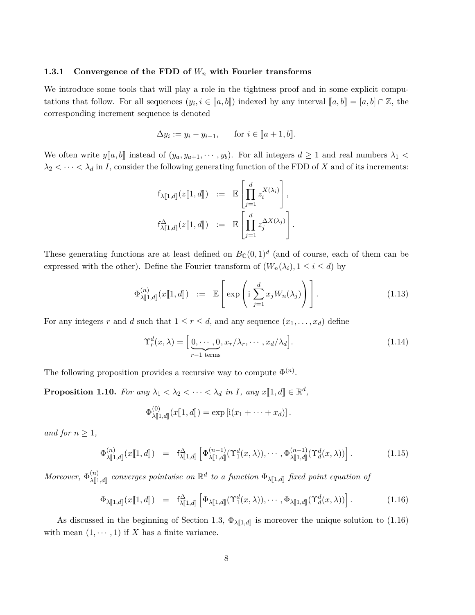#### **1.3.1 Convergence of the FDD of** *W<sup>n</sup>* **with Fourier transforms**

We introduce some tools that will play a role in the tightness proof and in some explicit computations that follow. For all sequences  $(y_i, i \in [a, b])$  indexed by any interval  $[a, b] = [a, b] \cap \mathbb{Z}$ , the corresponding increment sequence is denoted

$$
\Delta y_i := y_i - y_{i-1}, \quad \text{for } i \in [a+1, b].
$$

We often write  $y[a, b]$  instead of  $(y_a, y_{a+1}, \dots, y_b)$ . For all integers  $d \ge 1$  and real numbers  $\lambda_1$  $\lambda_2 < \cdots < \lambda_d$  in *I*, consider the following generating function of the FDD of *X* and of its increments:

$$
\begin{array}{rcl}\n\mathsf{f}_{\lambda[\![1,d]\!]}(z[\![1,d]\!]) & := & \mathbb{E}\left[\prod_{j=1}^d z_i^{X(\lambda_i)}\right], \\
\mathsf{f}_{\lambda[\![1,d]\!]}^{\Delta}(z[\![1,d]\!]) & := & \mathbb{E}\left[\prod_{j=1}^d z_j^{\Delta X(\lambda_j)}\right].\n\end{array}
$$

These generating functions are at least defined on  $\overline{B_{\mathbb{C}}(0,1)^d}$  (and of course, each of them can be expressed with the other). Define the Fourier transform of  $(W_n(\lambda_i), 1 \leq i \leq d)$  by

$$
\Phi_{\lambda[\![1,d]\!]}^{(n)}(x[\![1,d]\!]) \ := \ \mathbb{E}\left[\exp\left(\mathrm{i}\sum_{j=1}^d x_j W_n(\lambda_j)\right)\right].\tag{1.13}
$$

For any integers *r* and *d* such that  $1 \le r \le d$ , and any sequence  $(x_1, \ldots, x_d)$  define

$$
\Upsilon_r^d(x,\lambda) = \left[ \underbrace{0,\cdots,0}_{r-1 \text{ terms}}, x_r/\lambda_r,\cdots,x_d/\lambda_d \right].
$$
\n(1.14)

The following proposition provides a recursive way to compute  $\Phi^{(n)}$ .

**Proposition 1.10.** For any  $\lambda_1 < \lambda_2 < \cdots < \lambda_d$  in *I*, any  $x[[1, d]] \in \mathbb{R}^d$ ,

$$
\Phi_{\lambda[\![1,d]\!]}^{(0)}(x[\![1,d]\!])=\exp\left[i(x_1+\cdots+x_d)\right].
$$

*and for*  $n > 1$ *,* 

$$
\Phi_{\lambda[\![1,d]\!]}^{(n)}(x[\![1,d]\!]) = \mathsf{f}_{\lambda[\![1,d]\!]}^{\Delta} \left[ \Phi_{\lambda[\![1,d]\!]}^{(n-1)}(\Upsilon_1^d(x,\lambda)), \cdots, \Phi_{\lambda[\![1,d]\!]}^{(n-1)}(\Upsilon_d^d(x,\lambda)) \right]. \tag{1.15}
$$

*Moreover*,  $\Phi_{\lambda \mathbb{I}_1}^{(n)}$  $\lambda[\![1,d]\!]$ *converges pointwise on*  $\mathbb{R}^d$  *to a function*  $\Phi_{\lambda[\![1,d]\!]}$  *fixed point equation of* 

$$
\Phi_{\lambda[\![1,d]\!]}(x[\![1,d]\!]) = \mathsf{f}^{\Delta}_{\lambda[\![1,d]\!]} \left[ \Phi_{\lambda[\![1,d]\!]}(\Upsilon_1^d(x,\lambda)), \cdots, \Phi_{\lambda[\![1,d]\!]}(\Upsilon_d^d(x,\lambda)) \right]. \tag{1.16}
$$

As discussed in the beginning of Section 1.3,  $\Phi_{\lambda[\![1,d]\!]}$  is moreover the unique solution to (1.16) with mean  $(1, \dots, 1)$  if X has a finite variance.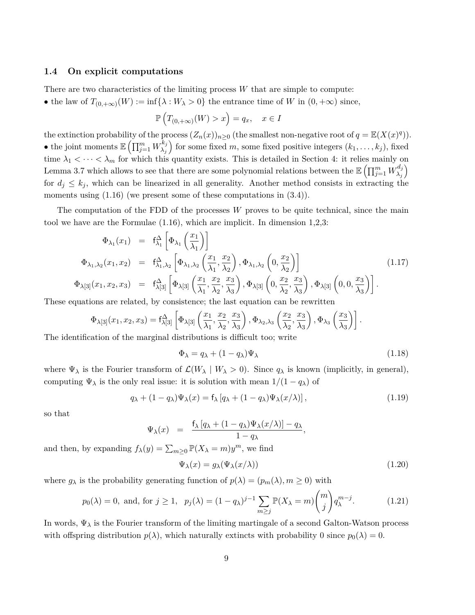#### **1.4 On explicit computations**

There are two characteristics of the limiting process *W* that are simple to compute:

• the law of  $T_{(0, +\infty)}(W) := \inf\{\lambda : W_{\lambda} > 0\}$  the entrance time of W in  $(0, +\infty)$  since,

$$
\mathbb{P}\left(T_{(0,+\infty)}(W) > x\right) = q_x, \quad x \in I
$$

the extinction probability of the process  $(Z_n(x))_{n\geq 0}$  (the smallest non-negative root of  $q = \mathbb{E}(X(x)^q)$ ). • the joint moments  $\mathbb{E} \left( \prod_{j=1}^m W_{\lambda_j}^{k_j} \right)$  $\binom{k_j}{\lambda_j}$  for some fixed *m*, some fixed positive integers  $(k_1, \ldots, k_j)$ , fixed time  $\lambda_1 < \cdots < \lambda_m$  for which this quantity exists. This is detailed in Section 4: it relies mainly on Lemma 3.7 which allows to see that there are some polynomial relations between the  $\mathbb{E} \left( \prod_{j=1}^m W_{\lambda_j}^{d_j} \right)$ *λj* for  $d_j \leq k_j$ , which can be linearized in all generality. Another method consists in extracting the moments using  $(1.16)$  (we present some of these computations in  $(3.4)$ ).

The computation of the FDD of the processes *W* proves to be quite technical, since the main tool we have are the Formulae (1.16), which are implicit. In dimension 1,2,3:

$$
\Phi_{\lambda_1}(x_1) = f_{\lambda_1}^{\Delta} \left[ \Phi_{\lambda_1} \left( \frac{x_1}{\lambda_1} \right) \right]
$$
\n
$$
\Phi_{\lambda_1, \lambda_2}(x_1, x_2) = f_{\lambda_1, \lambda_2}^{\Delta} \left[ \Phi_{\lambda_1, \lambda_2} \left( \frac{x_1}{\lambda_1}, \frac{x_2}{\lambda_2} \right), \Phi_{\lambda_1, \lambda_2} \left( 0, \frac{x_2}{\lambda_2} \right) \right]
$$
\n
$$
\Phi_{\lambda[3]}(x_1, x_2, x_3) = f_{\lambda[3]}^{\Delta} \left[ \Phi_{\lambda[3]} \left( \frac{x_1}{\lambda_1}, \frac{x_2}{\lambda_2}, \frac{x_3}{\lambda_3} \right), \Phi_{\lambda[3]} \left( 0, \frac{x_2}{\lambda_2}, \frac{x_3}{\lambda_3} \right), \Phi_{\lambda[3]} \left( 0, 0, \frac{x_3}{\lambda_3} \right) \right].
$$
\n(1.17)

These equations are related, by consistence; the last equation can be rewritten

$$
\Phi_{\lambda[3]}(x_1, x_2, x_3) = f^{\Delta}_{\lambda[3]} \left[ \Phi_{\lambda[3]} \left( \frac{x_1}{\lambda_1}, \frac{x_2}{\lambda_2}, \frac{x_3}{\lambda_3} \right), \Phi_{\lambda_2, \lambda_3} \left( \frac{x_2}{\lambda_2}, \frac{x_3}{\lambda_3} \right), \Phi_{\lambda_3} \left( \frac{x_3}{\lambda_3} \right) \right].
$$

The identification of the marginal distributions is difficult too; write

$$
\Phi_{\lambda} = q_{\lambda} + (1 - q_{\lambda})\Psi_{\lambda} \tag{1.18}
$$

where  $\Psi_{\lambda}$  is the Fourier transform of  $\mathcal{L}(W_{\lambda} | W_{\lambda} > 0)$ . Since  $q_{\lambda}$  is known (implicitly, in general), computing  $\Psi_{\lambda}$  is the only real issue: it is solution with mean  $1/(1 - q_{\lambda})$  of

$$
q_{\lambda} + (1 - q_{\lambda})\Psi_{\lambda}(x) = f_{\lambda} [q_{\lambda} + (1 - q_{\lambda})\Psi_{\lambda}(x/\lambda)], \qquad (1.19)
$$

so that

$$
\Psi_{\lambda}(x) = \frac{f_{\lambda}[q_{\lambda} + (1-q_{\lambda})\Psi_{\lambda}(x/\lambda)] - q_{\lambda}}{1-q_{\lambda}},
$$

and then, by expanding  $f_{\lambda}(y) = \sum_{m \geq 0} \mathbb{P}(X_{\lambda} = m) y^m$ , we find

$$
\Psi_{\lambda}(x) = g_{\lambda}(\Psi_{\lambda}(x/\lambda)) \tag{1.20}
$$

where  $g_{\lambda}$  is the probability generating function of  $p(\lambda) = (p_m(\lambda), m \ge 0)$  with

$$
p_0(\lambda) = 0, \text{ and, for } j \ge 1, \quad p_j(\lambda) = (1 - q_\lambda)^{j-1} \sum_{m \ge j} \mathbb{P}(X_\lambda = m) \binom{m}{j} q_\lambda^{m-j}.
$$
 (1.21)

In words,  $\Psi_{\lambda}$  is the Fourier transform of the limiting martingale of a second Galton-Watson process with offspring distribution  $p(\lambda)$ , which naturally extincts with probability 0 since  $p_0(\lambda) = 0$ .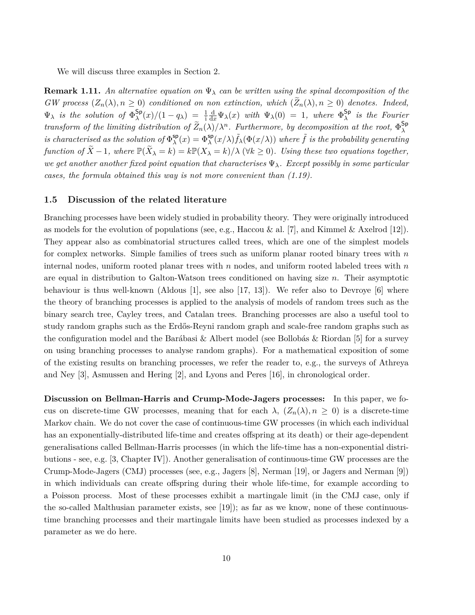We will discuss three examples in Section 2.

**Remark 1.11.** An alternative equation on  $\Psi_{\lambda}$  can be written using the spinal decomposition of the *GW* process  $(Z_n(\lambda), n \geq 0)$  conditioned on non extinction, which  $(Z_n(\lambda), n \geq 0)$  denotes. Indeed,  $\Psi_{\lambda}$  *is the solution of*  $\Phi_{\lambda}^{\mathsf{Sp}}$  $\frac{S_p}{\lambda}(x)/(1-q_\lambda) = \frac{1}{i}$  $\frac{d}{dx}\Psi_{\lambda}(x)$  *with*  $\Psi_{\lambda}(0) = 1$ *, where*  $\Phi_{\lambda}^{\mathsf{Sp}}$ *λ is the Fourier transform of the limiting distribution of*  $\tilde{Z}_n(\lambda)/\lambda^n$ . Furthermore, by decomposition at the root,  $\Phi_{\lambda}^{\text{Sp}}$ *λ is characterised as the solution of*  $\Phi_{\lambda}^{\text{sp}}$  $\Phi_{\lambda}^{\mathsf{sp}}(x) = \Phi_{\lambda}^{\mathsf{sp}}(x/\lambda) \tilde{f}_{\lambda}(\Phi(x/\lambda))$  where  $\tilde{f}$  *is the probability generating function of*  $\widetilde{X} - 1$ , where  $\mathbb{P}(\widetilde{X}_{\lambda} = k) = k \mathbb{P}(X_{\lambda} = k) / \lambda$  ( $\forall k \ge 0$ ). Using these two equations together, *we get another another fixed point equation that characterises* Ψ*λ. Except possibly in some particular cases, the formula obtained this way is not more convenient than (1.19).*

#### **1.5 Discussion of the related literature**

Branching processes have been widely studied in probability theory. They were originally introduced as models for the evolution of populations (see, e.g., Haccou & al. [7], and Kimmel & Axelrod [12]). They appear also as combinatorial structures called trees, which are one of the simplest models for complex networks. Simple families of trees such as uniform planar rooted binary trees with *n* internal nodes, uniform rooted planar trees with *n* nodes, and uniform rooted labeled trees with *n* are equal in distribution to Galton-Watson trees conditioned on having size *n*. Their asymptotic behaviour is thus well-known (Aldous [1], see also [17, 13]). We refer also to Devroye [6] where the theory of branching processes is applied to the analysis of models of random trees such as the binary search tree, Cayley trees, and Catalan trees. Branching processes are also a useful tool to study random graphs such as the Erdős-Reyni random graph and scale-free random graphs such as the configuration model and the Barábasi & Albert model (see Bollobás & Riordan [5] for a survey on using branching processes to analyse random graphs). For a mathematical exposition of some of the existing results on branching processes, we refer the reader to, e.g., the surveys of Athreya and Ney [3], Asmussen and Hering [2], and Lyons and Peres [16], in chronological order.

**Discussion on Bellman-Harris and Crump-Mode-Jagers processes:** In this paper, we focus on discrete-time GW processes, meaning that for each  $\lambda$ ,  $(Z_n(\lambda), n \geq 0)$  is a discrete-time Markov chain. We do not cover the case of continuous-time GW processes (in which each individual has an exponentially-distributed life-time and creates offspring at its death) or their age-dependent generalisations called Bellman-Harris processes (in which the life-time has a non-exponential distributions - see, e.g. [3, Chapter IV]). Another generalisation of continuous-time GW processes are the Crump-Mode-Jagers (CMJ) processes (see, e.g., Jagers [8], Nerman [19], or Jagers and Nerman [9]) in which individuals can create offspring during their whole life-time, for example according to a Poisson process. Most of these processes exhibit a martingale limit (in the CMJ case, only if the so-called Malthusian parameter exists, see [19]); as far as we know, none of these continuoustime branching processes and their martingale limits have been studied as processes indexed by a parameter as we do here.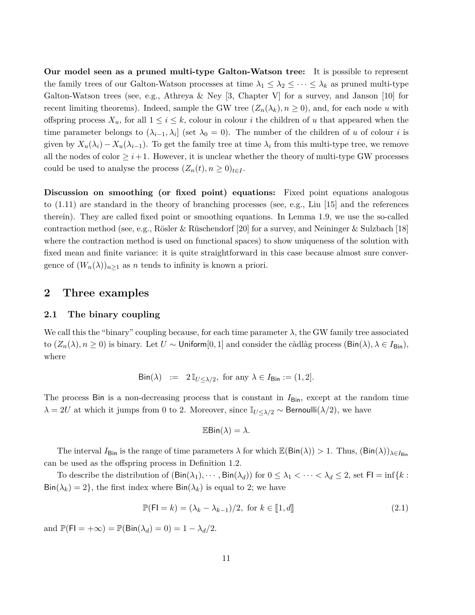**Our model seen as a pruned multi-type Galton-Watson tree:** It is possible to represent the family trees of our Galton-Watson processes at time  $\lambda_1 \leq \lambda_2 \leq \cdots \leq \lambda_k$  as pruned multi-type Galton-Watson trees (see, e.g., Athreya & Ney [3, Chapter V] for a survey, and Janson [10] for recent limiting theorems). Indeed, sample the GW tree  $(Z_n(\lambda_k), n \geq 0)$ , and, for each node *u* with offspring process  $X_u$ , for all  $1 \leq i \leq k$ , colour in colour *i* the children of *u* that appeared when the time parameter belongs to  $(\lambda_{i-1}, \lambda_i]$  (set  $\lambda_0 = 0$ ). The number of the children of *u* of colour *i* is given by  $X_u(\lambda_i) - X_u(\lambda_{i-1})$ . To get the family tree at time  $\lambda_i$  from this multi-type tree, we remove all the nodes of color  $\geq i+1$ . However, it is unclear whether the theory of multi-type GW processes could be used to analyse the process  $(Z_n(t), n \geq 0)_{t \in I}$ .

**Discussion on smoothing (or fixed point) equations:** Fixed point equations analogous to (1.11) are standard in the theory of branching processes (see, e.g., Liu [15] and the references therein). They are called fixed point or smoothing equations. In Lemma 1.9, we use the so-called contraction method (see, e.g., Rösler & Rüschendorf [20] for a survey, and Neininger & Sulzbach [18] where the contraction method is used on functional spaces) to show uniqueness of the solution with fixed mean and finite variance: it is quite straightforward in this case because almost sure convergence of  $(W_n(\lambda))_{n\geq 1}$  as *n* tends to infinity is known a priori.

#### **2 Three examples**

#### **2.1 The binary coupling**

We call this the "binary" coupling because, for each time parameter  $\lambda$ , the GW family tree associated to  $(Z_n(\lambda), n \ge 0)$  is binary. Let  $U \sim$  Uniform[0, 1] and consider the càdlàg process  $(\text{Bin}(\lambda), \lambda \in I_{\text{Bin}})$ , where

$$
\text{Bin}(\lambda) \ := \ 2 \, \mathbb{I}_{U \leq \lambda/2}, \text{ for any } \lambda \in I_{\text{Bin}} := (1, 2].
$$

The process Bin is a non-decreasing process that is constant in  $I_{\text{Bin}}$ , except at the random time  $\lambda = 2U$  at which it jumps from 0 to 2. Moreover, since  $\mathbb{I}_{U \leq \lambda/2}$  ∼ Bernoulli( $\lambda/2$ ), we have

$$
\mathbb{E}\mathsf{Bin}(\lambda) = \lambda.
$$

The interval  $I_{\text{Bin}}$  is the range of time parameters  $\lambda$  for which  $\mathbb{E}(\text{Bin}(\lambda)) > 1$ . Thus,  $(\text{Bin}(\lambda))_{\lambda \in I_{\text{Bin}}}$ can be used as the offspring process in Definition 1.2.

To describe the distribution of  $(\text{Bin}(\lambda_1), \dots, \text{Bin}(\lambda_d))$  for  $0 \leq \lambda_1 < \dots < \lambda_d \leq 2$ , set  $\text{Fl} = \inf\{k :$  $\text{Bin}(\lambda_k) = 2$ , the first index where  $\text{Bin}(\lambda_k)$  is equal to 2; we have

$$
\mathbb{P}(\mathsf{FI} = k) = (\lambda_k - \lambda_{k-1})/2, \text{ for } k \in [\![1, d]\!]
$$
\n(2.1)

and  $\mathbb{P}(\mathsf{FI} = +\infty) = \mathbb{P}(\mathsf{Bin}(\lambda_d) = 0) = 1 - \lambda_d/2.$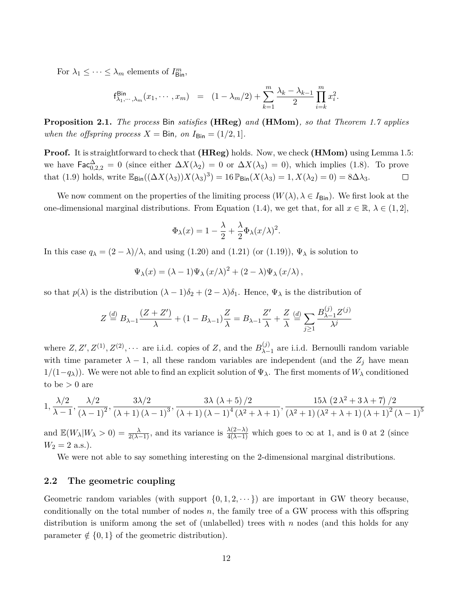For  $\lambda_1 \leq \cdots \leq \lambda_m$  elements of  $I^m_{\text{Bin}}$ ,

$$
\mathsf{f}_{\lambda_1,\cdots,\lambda_m}^{\mathsf{Bin}}(x_1,\cdots,x_m) = (1-\lambda_m/2) + \sum_{k=1}^m \frac{\lambda_k - \lambda_{k-1}}{2} \prod_{i=k}^m x_i^2.
$$

**Proposition 2.1.** *The process* Bin *satisfies* **(HReg)** *and* **(HMom)***, so that Theorem 1.7 applies when the offspring process*  $X = \text{Bin}$ *, on*  $I_{\text{Bin}} = (1/2, 1]$ *.* 

**Proof.** It is straightforward to check that **(HReg)** holds. Now, we check **(HMom)** using Lemma 1.5: we have  $\text{Fac}_{0,2,2}^{\Delta}=0$  (since either  $\Delta X(\lambda_2)=0$  or  $\Delta X(\lambda_3)=0$ ), which implies (1.8). To prove that (1.9) holds, write  $\mathbb{E}_{\text{Bin}}((\Delta X(\lambda_3))X(\lambda_3)^3) = 16 \mathbb{P}_{\text{Bin}}(X(\lambda_3) = 1, X(\lambda_2) = 0) = 8\Delta\lambda_3.$  $\Box$ 

We now comment on the properties of the limiting process  $(W(\lambda), \lambda \in I_{\text{Bin}})$ . We first look at the one-dimensional marginal distributions. From Equation (1.4), we get that, for all  $x \in \mathbb{R}$ ,  $\lambda \in (1, 2]$ ,

$$
\Phi_{\lambda}(x) = 1 - \frac{\lambda}{2} + \frac{\lambda}{2} \Phi_{\lambda}(x/\lambda)^2.
$$

In this case  $q_{\lambda} = (2 - \lambda)/\lambda$ , and using (1.20) and (1.21) (or (1.19)),  $\Psi_{\lambda}$  is solution to

$$
\Psi_{\lambda}(x) = (\lambda - 1)\Psi_{\lambda}(x/\lambda)^{2} + (2 - \lambda)\Psi_{\lambda}(x/\lambda),
$$

so that  $p(\lambda)$  is the distribution  $(\lambda - 1)\delta_2 + (2 - \lambda)\delta_1$ . Hence,  $\Psi_\lambda$  is the distribution of

$$
Z \stackrel{(d)}{=} B_{\lambda - 1} \frac{(Z + Z')}{\lambda} + (1 - B_{\lambda - 1}) \frac{Z}{\lambda} = B_{\lambda - 1} \frac{Z'}{\lambda} + \frac{Z}{\lambda} \stackrel{(d)}{=} \sum_{j \ge 1} \frac{B_{\lambda - 1}^{(j)} Z^{(j)}}{\lambda^j}
$$

where  $Z, Z', Z^{(1)}, Z^{(2)}, \cdots$  are i.i.d. copies of  $Z$ , and the  $B_{\lambda-}^{(j)}$ *λ*−1 are i.i.d. Bernoulli random variable with time parameter  $\lambda - 1$ , all these random variables are independent (and the  $Z_j$  have mean 1*/*(1−*qλ*)). We were not able to find an explicit solution of Ψ*λ*. The first moments of *W<sup>λ</sup>* conditioned to be  $> 0$  are

$$
1 ,\frac{\lambda /2}{\lambda -1},\frac{\lambda /2}{\left(\lambda -1\right)^2},\frac{3\lambda /2}{\left(\lambda +1\right)\left(\lambda -1\right)^3},\frac{3\lambda \left(\lambda +5\right)/2}{\left(\lambda +1\right)\left(\lambda -1\right)^4 \left(\lambda ^2+\lambda +1\right)},\frac{15\lambda \left(2\lambda ^2+3\lambda +7\right)/2}{\left(\lambda ^2+1\right)\left(\lambda ^2+\lambda +1\right)\left(\lambda +1\right)^2 \left(\lambda -1\right)^5}
$$

and  $\mathbb{E}(W_{\lambda}|W_{\lambda} > 0) = \frac{\lambda}{2(\lambda-1)}$ , and its variance is  $\frac{\lambda(2-\lambda)}{4(\lambda-1)}$  which goes to  $\infty$  at 1, and is 0 at 2 (since  $W_2 = 2$  a.s.).

We were not able to say something interesting on the 2-dimensional marginal distributions.

#### **2.2 The geometric coupling**

Geometric random variables (with support  $\{0, 1, 2, \dots\}$ ) are important in GW theory because, conditionally on the total number of nodes *n*, the family tree of a GW process with this offspring distribution is uniform among the set of (unlabelled) trees with *n* nodes (and this holds for any parameter  $\notin \{0,1\}$  of the geometric distribution).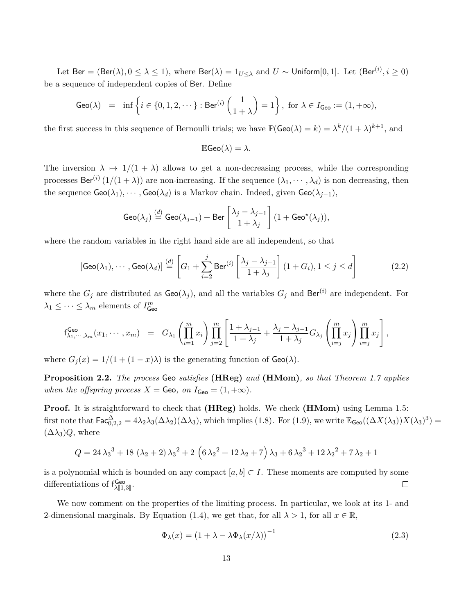Let  $\mathsf{Ber} = (\mathsf{Ber}(\lambda), 0 \leq \lambda \leq 1), \text{ where } \mathsf{Ber}(\lambda) = 1_{U \leq \lambda} \text{ and } U \sim \mathsf{Uniform}[0,1]. \text{ Let } (\mathsf{Ber}^{(i)}, i \geq 0)$ be a sequence of independent copies of Ber. Define

$$
\text{Geo}(\lambda) = \inf \left\{ i \in \{0, 1, 2, \cdots\} : \text{Ber}^{(i)}\left(\frac{1}{1+\lambda}\right) = 1 \right\}, \text{ for } \lambda \in I_{\text{Geo}} := (1, +\infty),
$$

the first success in this sequence of Bernoulli trials; we have  $\mathbb{P}(\mathsf{Geo}(\lambda) = k) = \lambda^k/(1 + \lambda)^{k+1}$ , and

$$
\mathbb{E}\mathsf{Geo}(\lambda) = \lambda.
$$

The inversion  $\lambda \mapsto 1/(1 + \lambda)$  allows to get a non-decreasing process, while the corresponding processes Ber<sup>(*i*)</sup>  $(1/(1 + \lambda))$  are non-increasing. If the sequence  $(\lambda_1, \dots, \lambda_d)$  is non decreasing, then the sequence  $\text{Geo}(\lambda_1), \cdots, \text{Geo}(\lambda_d)$  is a Markov chain. Indeed, given  $\text{Geo}(\lambda_{j-1}),$ 

$$
\mathsf{Geo}(\lambda_j) \stackrel{(d)}{=} \mathsf{Geo}(\lambda_{j-1}) + \mathsf{Ber}\left[\frac{\lambda_j - \lambda_{j-1}}{1 + \lambda_j}\right] (1 + \mathsf{Geo}^{\star}(\lambda_j)),
$$

where the random variables in the right hand side are all independent, so that

$$
[\mathsf{Geo}(\lambda_1), \cdots, \mathsf{Geo}(\lambda_d)] \stackrel{(d)}{=} \left[ G_1 + \sum_{i=2}^j \mathsf{Ber}^{(i)} \left[ \frac{\lambda_j - \lambda_{j-1}}{1 + \lambda_j} \right] (1 + G_i), 1 \le j \le d \right] \tag{2.2}
$$

where the  $G_j$  are distributed as  $\mathsf{Geo}(\lambda_j)$ , and all the variables  $G_j$  and  $\mathsf{Ber}^{(i)}$  are independent. For  $\lambda_1 \leq \cdots \leq \lambda_m$  elements of  $I^m_{\text{Geo}}$ 

$$
f_{\lambda_1,\dots,\lambda_m}^{\text{Geo}}(x_1,\dots,x_m) = G_{\lambda_1}\left(\prod_{i=1}^m x_i\right) \prod_{j=2}^m \left[\frac{1+\lambda_{j-1}}{1+\lambda_j} + \frac{\lambda_j-\lambda_{j-1}}{1+\lambda_j}G_{\lambda_j}\left(\prod_{i=j}^m x_j\right) \prod_{i=j}^m x_j\right],
$$

where  $G_i(x) = 1/(1 + (1 - x)\lambda)$  is the generating function of  $Geo(\lambda)$ .

**Proposition 2.2.** *The process* Geo *satisfies* **(HReg)** *and* **(HMom)***, so that Theorem 1.7 applies when the offspring process*  $X = \text{Geo}$ *, on*  $I_{\text{Geo}} = (1, +\infty)$ *.* 

**Proof.** It is straightforward to check that **(HReg)** holds. We check **(HMom)** using Lemma 1.5: first note that  $\mathsf{Fac}^{\Delta}_{0,2,2} = 4\lambda_2\lambda_3(\Delta\lambda_2)(\Delta\lambda_3)$ , which implies (1.8). For (1.9), we write  $\mathbb{E}_{\mathsf{Geo}}((\Delta X(\lambda_3))X(\lambda_3)^3) =$  $(\Delta\lambda_3)Q$ , where

$$
Q = 24 \lambda_3^3 + 18 (\lambda_2 + 2) \lambda_3^2 + 2 (6 \lambda_2^2 + 12 \lambda_2 + 7) \lambda_3 + 6 \lambda_2^3 + 12 \lambda_2^2 + 7 \lambda_2 + 1
$$

is a polynomial which is bounded on any compact  $[a, b] \subset I$ . These moments are computed by some differentiations of  $f^{\text{Geo}}_{\lambda[[1,3]]}$ .  $\Box$ 

We now comment on the properties of the limiting process. In particular, we look at its 1- and 2-dimensional marginals. By Equation (1.4), we get that, for all  $\lambda > 1$ , for all  $x \in \mathbb{R}$ ,

$$
\Phi_{\lambda}(x) = (1 + \lambda - \lambda \Phi_{\lambda}(x/\lambda))^{-1}
$$
\n(2.3)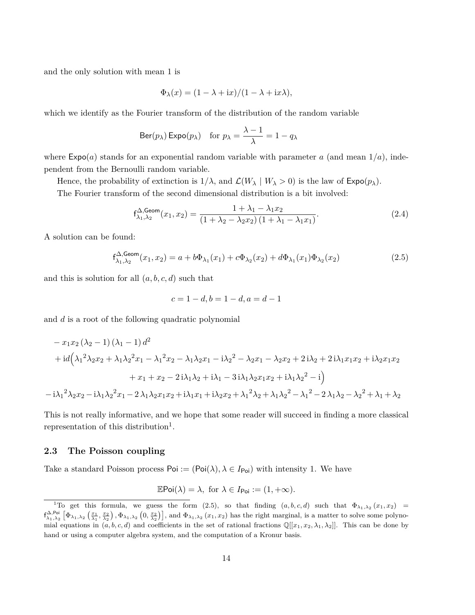and the only solution with mean 1 is

$$
\Phi_{\lambda}(x) = (1 - \lambda + ix)/(1 - \lambda + ix\lambda),
$$

which we identify as the Fourier transform of the distribution of the random variable

$$
Ber(p_{\lambda}) Expo(p_{\lambda}) \quad \text{for } p_{\lambda} = \frac{\lambda - 1}{\lambda} = 1 - q_{\lambda}
$$

where  $Expo(a)$  stands for an exponential random variable with parameter *a* (and mean  $1/a$ ), independent from the Bernoulli random variable.

Hence, the probability of extinction is  $1/\lambda$ , and  $\mathcal{L}(W_\lambda | W_\lambda > 0)$  is the law of  $\mathsf{Expo}(p_\lambda)$ .

The Fourier transform of the second dimensional distribution is a bit involved:

$$
f_{\lambda_1, \lambda_2}^{\Delta, \text{Geom}}(x_1, x_2) = \frac{1 + \lambda_1 - \lambda_1 x_2}{(1 + \lambda_2 - \lambda_2 x_2)(1 + \lambda_1 - \lambda_1 x_1)}.
$$
(2.4)

A solution can be found:

$$
f_{\lambda_1, \lambda_2}^{\Delta, \text{Geom}}(x_1, x_2) = a + b\Phi_{\lambda_1}(x_1) + c\Phi_{\lambda_2}(x_2) + d\Phi_{\lambda_1}(x_1)\Phi_{\lambda_2}(x_2)
$$
\n(2.5)

and this is solution for all (*a, b, c, d*) such that

$$
c = 1 - d, b = 1 - d, a = d - 1
$$

and *d* is a root of the following quadratic polynomial

$$
- x_1 x_2 (\lambda_2 - 1) (\lambda_1 - 1) d^2
$$
  
+ 
$$
i d (\lambda_1^2 \lambda_2 x_2 + \lambda_1 \lambda_2^2 x_1 - \lambda_1^2 x_2 - \lambda_1 \lambda_2 x_1 - i \lambda_2^2 - \lambda_2 x_1 - \lambda_2 x_2 + 2 i \lambda_2 + 2 i \lambda_1 x_1 x_2 + i \lambda_2 x_1 x_2
$$
  
+ 
$$
x_1 + x_2 - 2 i \lambda_1 \lambda_2 + i \lambda_1 - 3 i \lambda_1 \lambda_2 x_1 x_2 + i \lambda_1 \lambda_2^2 - i)
$$
  
- 
$$
-i \lambda_1^2 \lambda_2 x_2 - i \lambda_1 \lambda_2^2 x_1 - 2 \lambda_1 \lambda_2 x_1 x_2 + i \lambda_1 x_1 + i \lambda_2 x_2 + \lambda_1^2 \lambda_2 + \lambda_1 \lambda_2^2 - \lambda_1^2 - 2 \lambda_1 \lambda_2 - \lambda_2^2 + \lambda_1 + \lambda_2
$$

This is not really informative, and we hope that some reader will succeed in finding a more classical representation of this distribution<sup>1</sup>.

#### **2.3 The Poisson coupling**

Take a standard Poisson process  $Poi := (Poi(\lambda), \lambda \in I_{Poi})$  with intensity 1. We have

$$
\mathbb{E}\mathsf{Poi}(\lambda) = \lambda, \text{ for } \lambda \in I_{\mathsf{Poi}} := (1, +\infty).
$$

<sup>&</sup>lt;sup>1</sup>To get this formula, we guess the form (2.5), so that finding  $(a, b, c, d)$  such that  $\Phi_{\lambda_1, \lambda_2}(x_1, x_2)$  =  $f^{\Delta,\text{Poi}}_{\lambda_1,\lambda_2} \left[ \Phi_{\lambda_1,\lambda_2} \left( \frac{x_1}{\lambda_1}, \frac{x_2}{\lambda_2} \right), \Phi_{\lambda_1,\lambda_2} \left( 0, \frac{x_2}{\lambda_2} \right) \right]$ , and  $\Phi_{\lambda_1,\lambda_2} (x_1, x_2)$  has the right marginal, is a matter to solve some polynomial equations in  $(a, b, c, d)$  and coefficients in the set of rational fractions  $\mathbb{Q}[[x_1, x_2, \lambda_1, \lambda_2]]$ . This can be done by hand or using a computer algebra system, and the computation of a Kronur basis.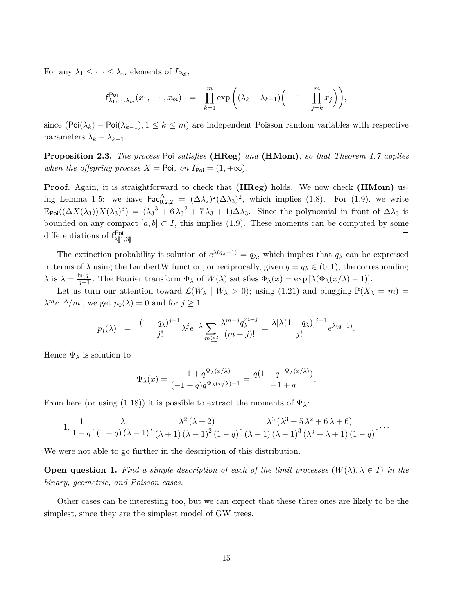For any  $\lambda_1 \leq \cdots \leq \lambda_m$  elements of  $I_{\text{Poi}}$ ,

$$
f_{\lambda_1,\cdots,\lambda_m}^{\text{Poi}}(x_1,\cdots,x_m) = \prod_{k=1}^m \exp\left((\lambda_k-\lambda_{k-1})\left(-1+\prod_{j=k}^m x_j\right)\right),
$$

since  $(\text{Poi}(\lambda_k) - \text{Poi}(\lambda_{k-1}), 1 \leq k \leq m)$  are independent Poisson random variables with respective parameters  $\lambda_k - \lambda_{k-1}$ .

**Proposition 2.3.** *The process* Poi *satisfies* **(HReg)** *and* **(HMom)***, so that Theorem 1.7 applies when the offspring process*  $X = \text{Poi}$ *, on*  $I_{\text{Poi}} = (1, +\infty)$ *.* 

**Proof.** Again, it is straightforward to check that **(HReg)** holds. We now check **(HMom)** using Lemma 1.5: we have  $\text{Fac}^{\Delta}_{0,2,2} = (\Delta\lambda_2)^2(\Delta\lambda_3)^2$ , which implies (1.8). For (1.9), we write  $\mathbb{E}_{\mathsf{Poi}}((\Delta X(\lambda_3))X(\lambda_3)^3) = (\lambda_3^3 + 6\lambda_3^2 + 7\lambda_3 + 1)\Delta\lambda_3$ . Since the polynomial in front of  $\Delta\lambda_3$  is bounded on any compact  $[a, b] \subset I$ , this implies (1.9). These moments can be computed by some differentiations of  $f^{\text{Poi}}_{\lambda[[1,3]]}$ .  $\Box$ 

The extinction probability is solution of  $e^{\lambda(q_{\lambda}-1)} = q_{\lambda}$ , which implies that  $q_{\lambda}$  can be expressed in terms of  $\lambda$  using the LambertW function, or reciprocally, given  $q = q_{\lambda} \in (0, 1)$ , the corresponding  $\lambda$  is  $\lambda = \frac{\ln(q)}{q-1}$  $\frac{\ln(q)}{q-1}$ . The Fourier transform  $\Phi_{\lambda}$  of  $W(\lambda)$  satisfies  $\Phi_{\lambda}(x) = \exp\left[\lambda(\Phi_{\lambda}(x/\lambda) - 1)\right]$ .

Let us turn our attention toward  $\mathcal{L}(W_\lambda \mid W_\lambda > 0)$ ; using (1.21) and plugging  $\mathbb{P}(X_\lambda = m)$  $\lambda^m e^{-\lambda}/m!$ , we get  $p_0(\lambda) = 0$  and for  $j \ge 1$ 

$$
p_j(\lambda) = \frac{(1-q_\lambda)^{j-1}}{j!} \lambda^j e^{-\lambda} \sum_{m \ge j} \frac{\lambda^{m-j} q_\lambda^{m-j}}{(m-j)!} = \frac{\lambda [\lambda (1-q_\lambda)]^{j-1}}{j!} e^{\lambda (q-1)}.
$$

Hence  $\Psi_{\lambda}$  is solution to

$$
\Psi_{\lambda}(x) = \frac{-1 + q^{\Psi_{\lambda}(x/\lambda)}}{(-1 + q)q^{\Psi_{\lambda}(x/\lambda) - 1}} = \frac{q(1 - q^{-\Psi_{\lambda}(x/\lambda)})}{-1 + q}.
$$

From here (or using (1.18)) it is possible to extract the moments of  $\Psi_{\lambda}$ :

$$
1, \frac{1}{1-q}, \frac{\lambda}{\left(1-q\right)\left(\lambda-1\right)}, \frac{\lambda^2\left(\lambda+2\right)}{\left(\lambda+1\right)\left(\lambda-1\right)^2\left(1-q\right)}, \frac{\lambda^3\left(\lambda^3+5\lambda^2+6\lambda+6\right)}{\left(\lambda+1\right)\left(\lambda-1\right)^3\left(\lambda^2+\lambda+1\right)\left(1-q\right)}, \ldots
$$

We were not able to go further in the description of this distribution.

**Open question 1.** Find a simple description of each of the limit processes  $(W(\lambda), \lambda \in I)$  in the *binary, geometric, and Poisson cases.*

Other cases can be interesting too, but we can expect that these three ones are likely to be the simplest, since they are the simplest model of GW trees.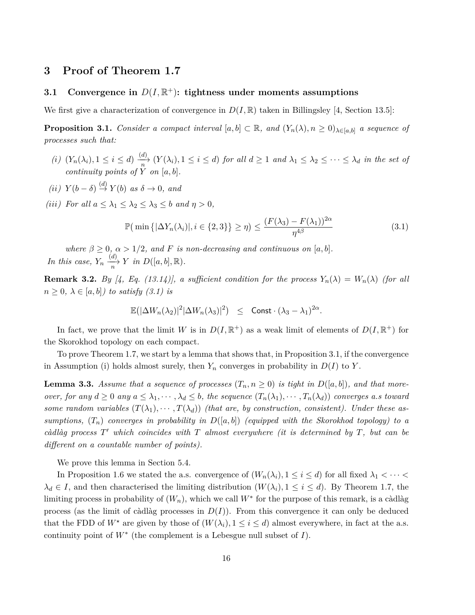### **3 Proof of Theorem 1.7**

### **3.1** Convergence in  $D(I, \mathbb{R}^+)$ : tightness under moments assumptions

We first give a characterization of convergence in  $D(I, \mathbb{R})$  taken in Billingsley [4, Section 13.5]:

**Proposition 3.1.** *Consider a compact interval*  $[a, b] \subset \mathbb{R}$ *, and*  $(Y_n(\lambda), n \ge 0)_{\lambda \in [a,b]}$  *a sequence of processes such that:*

- (i)  $(Y_n(\lambda_i), 1 \leq i \leq d) \xrightarrow[n]{(d)} (Y(\lambda_i), 1 \leq i \leq d)$  for all  $d \geq 1$  and  $\lambda_1 \leq \lambda_2 \leq \cdots \leq \lambda_d$  in the set of *continuity points of*  $Y$  *on*  $[a, b]$ *.*
- $(iii)$   $Y(b − δ) \stackrel{(d)}{\rightarrow} Y(b)$  *as*  $\delta → 0$ *, and*
- *(iii) For all*  $a \leq \lambda_1 \leq \lambda_2 \leq \lambda_3 \leq b$  *and*  $\eta > 0$ *,*

$$
\mathbb{P}\left(\min\left\{|\Delta Y_n(\lambda_i)|, i \in \{2,3\}\right\} \ge \eta\right) \le \frac{(F(\lambda_3) - F(\lambda_1))^{2\alpha}}{\eta^{4\beta}}\tag{3.1}
$$

*where*  $\beta \geq 0$ ,  $\alpha > 1/2$ , and *F is non-decreasing and continuous on* [a, b]. *In this case,*  $Y_n \xrightarrow[n]{(d)} Y$  *in*  $D([a, b], \mathbb{R})$ *.* 

**Remark 3.2.** *By* [4, *Eq.* (13.14)], a sufficient condition for the process  $Y_n(\lambda) = W_n(\lambda)$  (for all  $n \geq 0$ ,  $\lambda \in [a, b]$ *) to satisfy (3.1) is* 

$$
\mathbb{E}(|\Delta W_n(\lambda_2)|^2|\Delta W_n(\lambda_3)|^2) \leq \text{Const} \cdot (\lambda_3 - \lambda_1)^{2\alpha}.
$$

In fact, we prove that the limit *W* is in  $D(I, \mathbb{R}^+)$  as a weak limit of elements of  $D(I, \mathbb{R}^+)$  for the Skorokhod topology on each compact.

To prove Theorem 1.7, we start by a lemma that shows that, in Proposition 3.1, if the convergence in Assumption (i) holds almost surely, then  $Y_n$  converges in probability in  $D(I)$  to  $Y$ .

**Lemma 3.3.** *Assume that a sequence of processes*  $(T_n, n \ge 0)$  *is tight in*  $D([a, b])$ *, and that more*over, for any  $d \ge 0$  any  $a \le \lambda_1, \dots, \lambda_d \le b$ , the sequence  $(T_n(\lambda_1), \dots, T_n(\lambda_d))$  converges a.s toward *some random variables*  $(T(\lambda_1), \cdots, T(\lambda_d))$  *(that are, by construction, consistent). Under these assumptions,*  $(T_n)$  *converges in probability in*  $D([a, b])$  *(equipped with the Skorokhod topology) to a càdlàg process T* <sup>0</sup> *which coincides with T almost everywhere (it is determined by T, but can be different on a countable number of points).*

We prove this lemma in Section 5.4.

In Proposition 1.6 we stated the a.s. convergence of  $(W_n(\lambda_i), 1 \leq i \leq d)$  for all fixed  $\lambda_1 < \cdots <$  $\lambda_d \in I$ , and then characterised the limiting distribution  $(W(\lambda_i), 1 \leq i \leq d)$ . By Theorem 1.7, the limiting process in probability of  $(W_n)$ , which we call  $W^*$  for the purpose of this remark, is a càdlàg process (as the limit of càdlàg processes in  $D(I)$ ). From this convergence it can only be deduced that the FDD of  $W^*$  are given by those of  $(W(\lambda_i), 1 \leq i \leq d)$  almost everywhere, in fact at the a.s. continuity point of  $W^*$  (the complement is a Lebesgue null subset of  $I$ ).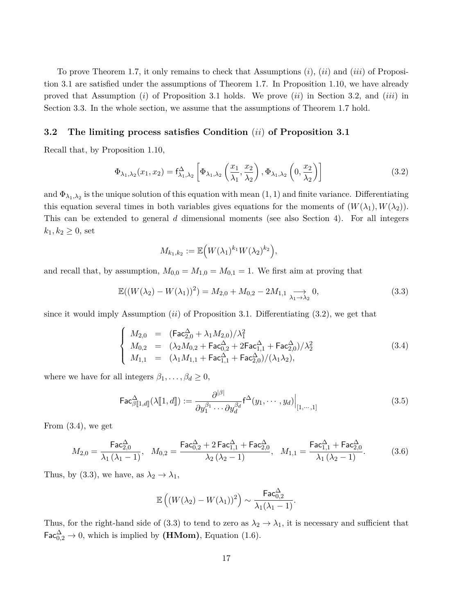To prove Theorem 1.7, it only remains to check that Assumptions (*i*), (*ii*) and (*iii*) of Proposition 3.1 are satisfied under the assumptions of Theorem 1.7. In Proposition 1.10, we have already proved that Assumption (*i*) of Proposition 3.1 holds. We prove (*ii*) in Section 3.2, and (*iii*) in Section 3.3. In the whole section, we assume that the assumptions of Theorem 1.7 hold.

#### **3.2 The limiting process satisfies Condition** (*ii*) **of Proposition 3.1**

Recall that, by Proposition 1.10,

$$
\Phi_{\lambda_1, \lambda_2}(x_1, x_2) = \mathsf{f}_{\lambda_1, \lambda_2}^{\Delta} \left[ \Phi_{\lambda_1, \lambda_2} \left( \frac{x_1}{\lambda_1}, \frac{x_2}{\lambda_2} \right), \Phi_{\lambda_1, \lambda_2} \left( 0, \frac{x_2}{\lambda_2} \right) \right]
$$
(3.2)

and  $\Phi_{\lambda_1,\lambda_2}$  is the unique solution of this equation with mean  $(1,1)$  and finite variance. Differentiating this equation several times in both variables gives equations for the moments of  $(W(\lambda_1), W(\lambda_2))$ . This can be extended to general *d* dimensional moments (see also Section 4). For all integers  $k_1, k_2 \ge 0$ , set

$$
M_{k_1,k_2} := \mathbb{E}\Big(W(\lambda_1)^{k_1}W(\lambda_2)^{k_2}\Big),\,
$$

and recall that, by assumption,  $M_{0,0} = M_{1,0} = M_{0,1} = 1$ . We first aim at proving that

$$
\mathbb{E}((W(\lambda_2) - W(\lambda_1))^2) = M_{2,0} + M_{0,2} - 2M_{1,1} \underset{\lambda_1 \to \lambda_2}{\longrightarrow} 0,
$$
\n(3.3)

since it would imply Assumption (*ii*) of Proposition 3.1. Differentiating (3.2), we get that

$$
\begin{cases}\nM_{2,0} = (Fac_{2,0}^{\Delta} + \lambda_1 M_{2,0})/\lambda_1^2 \\
M_{0,2} = (\lambda_2 M_{0,2} + Fac_{0,2}^{\Delta} + 2Fac_{1,1}^{\Delta} + Fac_{2,0}^{\Delta})/\lambda_2^2 \\
M_{1,1} = (\lambda_1 M_{1,1} + Fac_{1,1}^{\Delta} + Fac_{2,0}^{\Delta})/(\lambda_1 \lambda_2),\n\end{cases}
$$
\n(3.4)

where we have for all integers  $\beta_1, \ldots, \beta_d \geq 0$ ,

$$
\mathsf{Fac}_{\beta[\![1,d]\!]}^{\Delta}(\lambda[\![1,d]\!]) := \frac{\partial^{|\beta|}}{\partial y_1^{\beta_1} \cdots \partial y_d^{\beta_d}} \mathsf{f}^{\Delta}(y_1, \cdots, y_d) \Big|_{[1,\cdots,1]}
$$
(3.5)

From (3.4), we get

$$
M_{2,0} = \frac{\text{Fac}_{2,0}^{\Delta}}{\lambda_1 (\lambda_1 - 1)}, \quad M_{0,2} = \frac{\text{Fac}_{0,2}^{\Delta} + 2\,\text{Fac}_{1,1}^{\Delta} + \text{Fac}_{2,0}^{\Delta}}{\lambda_2 (\lambda_2 - 1)}, \quad M_{1,1} = \frac{\text{Fac}_{1,1}^{\Delta} + \text{Fac}_{2,0}^{\Delta}}{\lambda_1 (\lambda_2 - 1)}.
$$
 (3.6)

Thus, by (3.3), we have, as  $\lambda_2 \rightarrow \lambda_1$ ,

$$
\mathbb{E}\left((W(\lambda_2)-W(\lambda_1))^2\right)\sim \frac{\textsf{Fac}_{0,2}^{\Delta}}{\lambda_1(\lambda_1-1)}.
$$

Thus, for the right-hand side of (3.3) to tend to zero as  $\lambda_2 \to \lambda_1$ , it is necessary and sufficient that  $\mathsf{Fac}^{\Delta}_{0,2} \to 0$ , which is implied by  $(\mathbf{H}\mathbf{Mom})$ , Equation (1.6).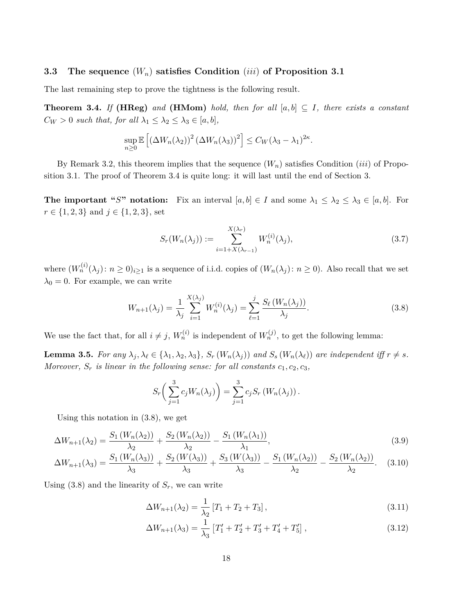#### **3.3 The sequence** (*Wn*) **satisfies Condition** (*iii*) **of Proposition 3.1**

The last remaining step to prove the tightness is the following result.

**Theorem 3.4.** *If* **(HReg)** and **(HMom)** *hold, then for all*  $[a, b] \subseteq I$ *, there exists a constant*  $C_W > 0$  *such that, for all*  $\lambda_1 \leq \lambda_2 \leq \lambda_3 \in [a, b]$ *,* 

$$
\sup_{n\geq 0} \mathbb{E}\left[ \left( \Delta W_n(\lambda_2) \right)^2 \left( \Delta W_n(\lambda_3) \right)^2 \right] \leq C_W(\lambda_3 - \lambda_1)^{2\kappa}.
$$

By Remark 3.2, this theorem implies that the sequence (*Wn*) satisfies Condition (*iii*) of Proposition 3.1. The proof of Theorem 3.4 is quite long: it will last until the end of Section 3.

**The important "***S*" notation: Fix an interval  $[a, b] \in I$  and some  $\lambda_1 \leq \lambda_2 \leq \lambda_3 \in [a, b]$ . For  $r \in \{1, 2, 3\}$  and  $j \in \{1, 2, 3\}$ , set

$$
S_r(W_n(\lambda_j)) := \sum_{i=1+X(\lambda_{r-1})}^{X(\lambda_r)} W_n^{(i)}(\lambda_j),
$$
\n(3.7)

where  $(W_n^{(i)}(\lambda_j): n \geq 0)_{i \geq 1}$  is a sequence of i.i.d. copies of  $(W_n(\lambda_j): n \geq 0)$ . Also recall that we set  $\lambda_0 = 0$ . For example, we can write

$$
W_{n+1}(\lambda_j) = \frac{1}{\lambda_j} \sum_{i=1}^{X(\lambda_j)} W_n^{(i)}(\lambda_j) = \sum_{\ell=1}^j \frac{S_\ell(W_n(\lambda_j))}{\lambda_j}.
$$
 (3.8)

We use the fact that, for all  $i \neq j$ ,  $W_n^{(i)}$  is independent of  $W_n^{(j)}$ , to get the following lemma:

**Lemma 3.5.** For any  $\lambda_j, \lambda_\ell \in \{\lambda_1, \lambda_2, \lambda_3\}$ ,  $S_r(W_n(\lambda_j))$  and  $S_s(W_n(\lambda_\ell))$  are independent iff  $r \neq s$ . *Moreover,*  $S_r$  *is linear in the following sense: for all constants*  $c_1, c_2, c_3$ *,* 

$$
S_r\left(\sum_{j=1}^3 c_j W_n(\lambda_j)\right) = \sum_{j=1}^3 c_j S_r \left(W_n(\lambda_j)\right).
$$

Using this notation in (3.8), we get

$$
\Delta W_{n+1}(\lambda_2) = \frac{S_1(W_n(\lambda_2))}{\lambda_2} + \frac{S_2(W_n(\lambda_2))}{\lambda_2} - \frac{S_1(W_n(\lambda_1))}{\lambda_1},\tag{3.9}
$$

$$
\Delta W_{n+1}(\lambda_3) = \frac{S_1(W_n(\lambda_3))}{\lambda_3} + \frac{S_2(W(\lambda_3))}{\lambda_3} + \frac{S_3(W(\lambda_3))}{\lambda_3} - \frac{S_1(W_n(\lambda_2))}{\lambda_2} - \frac{S_2(W_n(\lambda_2))}{\lambda_2}.
$$
 (3.10)

Using  $(3.8)$  and the linearity of  $S_r$ , we can write

$$
\Delta W_{n+1}(\lambda_2) = \frac{1}{\lambda_2} [T_1 + T_2 + T_3], \qquad (3.11)
$$

$$
\Delta W_{n+1}(\lambda_3) = \frac{1}{\lambda_3} \left[ T_1' + T_2' + T_3' + T_4' + T_5' \right],\tag{3.12}
$$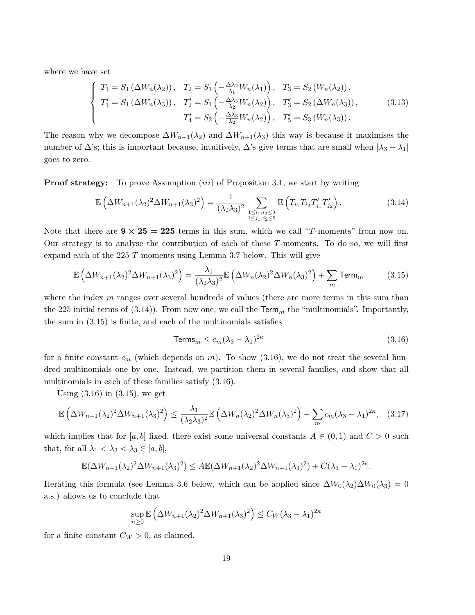where we have set

$$
\begin{cases}\nT_1 = S_1 \left(\Delta W_n(\lambda_2)\right), & T_2 = S_1 \left(-\frac{\Delta \lambda_2}{\lambda_1} W_n(\lambda_1)\right), & T_3 = S_2 \left(W_n(\lambda_2)\right), \\
T'_1 = S_1 \left(\Delta W_n(\lambda_3)\right), & T'_2 = S_1 \left(-\frac{\Delta \lambda_3}{\lambda_2} W_n(\lambda_2)\right), & T'_3 = S_2 \left(\Delta W_n(\lambda_3)\right), \\
T'_4 = S_2 \left(-\frac{\Delta \lambda_3}{\lambda_2} W_n(\lambda_2)\right), & T'_5 = S_3 \left(W_n(\lambda_3)\right).\n\end{cases}\n\tag{3.13}
$$

The reason why we decompose  $\Delta W_{n+1}(\lambda_2)$  and  $\Delta W_{n+1}(\lambda_3)$  this way is because it maximises the number of  $\Delta$ 's; this is important because, intuitively,  $\Delta$ 's give terms that are small when  $|\lambda_3 - \lambda_1|$ goes to zero.

**Proof strategy:** To prove Assumption *(iii)* of Proposition 3.1, we start by writing

$$
\mathbb{E}\left(\Delta W_{n+1}(\lambda_2)^2 \Delta W_{n+1}(\lambda_3)^2\right) = \frac{1}{(\lambda_2 \lambda_3)^2} \sum_{\substack{1 \le i_1, i_2 \le 3 \\ 1 \le j_1, j_2 \le 5}} \mathbb{E}\left(T_{i_1} T_{i_2} T'_{j_1} T'_{j_2}\right).
$$
 (3.14)

Note that there are  $9 \times 25 = 225$  terms in this sum, which we call "*T*-moments" from now on. Our strategy is to analyse the contribution of each of these *T*-moments. To do so, we will first expand each of the 225 *T*-moments using Lemma 3.7 below. This will give

$$
\mathbb{E}\left(\Delta W_{n+1}(\lambda_2)^2 \Delta W_{n+1}(\lambda_3)^2\right) = \frac{\lambda_1}{(\lambda_2 \lambda_3)^2} \mathbb{E}\left(\Delta W_n(\lambda_2)^2 \Delta W_n(\lambda_3)^2\right) + \sum_m \text{Term}_m\tag{3.15}
$$

where the index *m* ranges over several hundreds of values (there are more terms in this sum than the 225 initial terms of  $(3.14)$ ). From now one, we call the  $\text{Term}_m$  the "multinomials". Importantly, the sum in (3.15) is finite, and each of the multinomials satisfies

$$
\mathsf{Terms}_m \le c_m (\lambda_3 - \lambda_1)^{2\kappa} \tag{3.16}
$$

for a finite constant  $c_m$  (which depends on  $m$ ). To show  $(3.16)$ , we do not treat the several hundred multinomials one by one. Instead, we partition them in several families, and show that all multinomials in each of these families satisfy (3.16).

Using  $(3.16)$  in  $(3.15)$ , we get

$$
\mathbb{E}\left(\Delta W_{n+1}(\lambda_2)^2 \Delta W_{n+1}(\lambda_3)^2\right) \le \frac{\lambda_1}{(\lambda_2 \lambda_3)^2} \mathbb{E}\left(\Delta W_n(\lambda_2)^2 \Delta W_n(\lambda_3)^2\right) + \sum_m c_m (\lambda_3 - \lambda_1)^{2\kappa}, \quad (3.17)
$$

which implies that for [*a, b*] fixed, there exist some universal constants  $A \in (0,1)$  and  $C > 0$  such that, for all  $\lambda_1 < \lambda_2 < \lambda_3 \in [a, b],$ 

$$
\mathbb{E}(\Delta W_{n+1}(\lambda_2)^2 \Delta W_{n+1}(\lambda_3)^2) \leq A \mathbb{E}(\Delta W_{n+1}(\lambda_2)^2 \Delta W_{n+1}(\lambda_3)^2) + C(\lambda_3 - \lambda_1)^{2\kappa}.
$$

Iterating this formula (see Lemma 3.6 below, which can be applied since  $\Delta W_0(\lambda_2)\Delta W_0(\lambda_3) = 0$ a.s.) allows us to conclude that

$$
\sup_{n\geq 0} \mathbb{E}\left(\Delta W_{n+1}(\lambda_2)^2 \Delta W_{n+1}(\lambda_3)^2\right) \leq C_W(\lambda_3 - \lambda_1)^{2\kappa}
$$

for a finite constant  $C_W > 0$ , as claimed.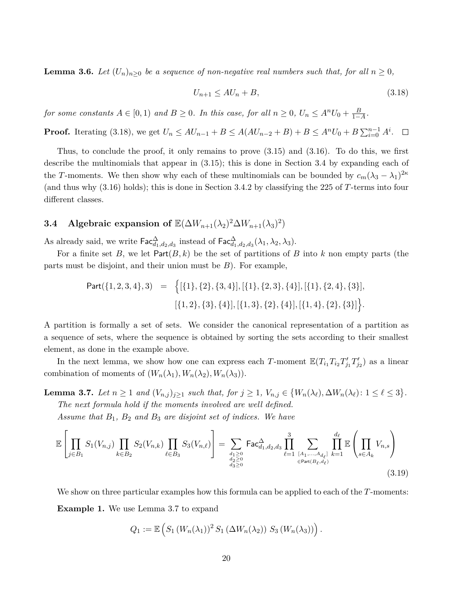**Lemma 3.6.** *Let*  $(U_n)_{n>0}$  *be a sequence of non-negative real numbers such that, for all*  $n \geq 0$ *,* 

$$
U_{n+1} \le AU_n + B,\tag{3.18}
$$

*for some constants*  $A \in [0, 1)$  *and*  $B \ge 0$ *. In this case, for all*  $n \ge 0$ *,*  $U_n \le A^n U_0 + \frac{B}{1-A}$ *.* 

**Proof.** Iterating (3.18), we get  $U_n \le AU_{n-1} + B \le A(AU_{n-2} + B) + B \le A^nU_0 + B\sum_{i=0}^{n-1} A^i$ .

Thus, to conclude the proof, it only remains to prove (3.15) and (3.16). To do this, we first describe the multinomials that appear in (3.15); this is done in Section 3.4 by expanding each of the *T*-moments. We then show why each of these multinomials can be bounded by  $c_m(\lambda_3 - \lambda_1)^{2\kappa}$ (and thus why (3.16) holds); this is done in Section 3.4.2 by classifying the 225 of *T*-terms into four different classes.

### **3.4** Algebraic expansion of  $\mathbb{E}(\Delta W_{n+1}(\lambda_2)^2 \Delta W_{n+1}(\lambda_3)^2)$

As already said, we write  $\textsf{Fac}^{\Delta}_{d_1,d_2,d_3}$  instead of  $\textsf{Fac}^{\Delta}_{d_1,d_2,d_3}(\lambda_1,\lambda_2,\lambda_3)$ .

For a finite set *B*, we let  $Part(B, k)$  be the set of partitions of *B* into *k* non empty parts (the parts must be disjoint, and their union must be *B*). For example,

Part(
$$
\{1, 2, 3, 4\}
$$
, 3) = { $\{[\{1\}, \{2\}, \{3, 4\}], [\{1\}, \{2, 3\}, \{4\}], [\{1\}, \{2, 4\}, \{3\}], [\{1, 2\}, \{3\}, \{4\}], [\{1, 3\}, \{2\}, \{4\}], [\{1, 4\}, \{2\}, \{3\}]\}.$ 

A partition is formally a set of sets. We consider the canonical representation of a partition as a sequence of sets, where the sequence is obtained by sorting the sets according to their smallest element, as done in the example above.

In the next lemma, we show how one can express each *T*-moment  $\mathbb{E}(T_{i_1}T_{i_2}T'_{j_1}T'_{j_2})$  as a linear combination of moments of  $(W_n(\lambda_1), W_n(\lambda_2), W_n(\lambda_3))$ .

**Lemma 3.7.** Let  $n \geq 1$  and  $(V_{n,j})_{j\geq 1}$  such that, for  $j \geq 1$ ,  $V_{n,j} \in \{W_n(\lambda_\ell), \Delta W_n(\lambda_\ell): 1 \leq \ell \leq 3\}$ .

*The next formula hold if the moments involved are well defined.*

*Assume that B*1*, B*<sup>2</sup> *and B*<sup>3</sup> *are disjoint set of indices. We have*

$$
\mathbb{E}\left[\prod_{j\in B_1} S_1(V_{n,j}) \prod_{k\in B_2} S_2(V_{n,k}) \prod_{\ell\in B_3} S_3(V_{n,\ell})\right] = \sum_{\substack{d_1\geq 0 \ d_2\geq 0 \ d_3\geq 0}} \text{Fac}_{d_1,d_2,d_3}^{\Delta} \prod_{\ell=1}^3 \sum_{\substack{[A_1,\ldots,A_{d_\ell}] \ k=1}} \prod_{k=1}^{d_\ell} \mathbb{E}\left(\prod_{s\in A_k} V_{n,s}\right) \tag{3.19}
$$

We show on three particular examples how this formula can be applied to each of the *T*-moments: **Example 1.** We use Lemma 3.7 to expand

$$
Q_1 := \mathbb{E}\left(S_1\left(W_n(\lambda_1)\right)^2 S_1\left(\Delta W_n(\lambda_2)\right) S_3\left(W_n(\lambda_3)\right)\right).
$$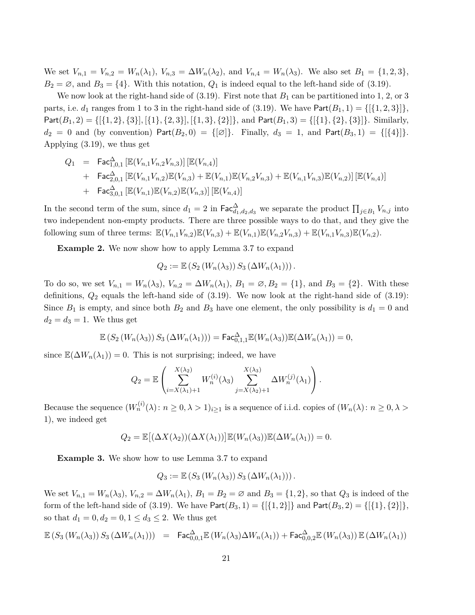We set  $V_{n,1} = V_{n,2} = W_n(\lambda_1)$ ,  $V_{n,3} = \Delta W_n(\lambda_2)$ , and  $V_{n,4} = W_n(\lambda_3)$ . We also set  $B_1 = \{1,2,3\}$ ,  $B_2 = \emptyset$ , and  $B_3 = \{4\}$ . With this notation,  $Q_1$  is indeed equal to the left-hand side of (3.19).

We now look at the right-hand side of  $(3.19)$ . First note that  $B_1$  can be partitioned into 1, 2, or 3 parts, i.e.  $d_1$  ranges from 1 to 3 in the right-hand side of (3.19). We have  $Part(B_1, 1) = \{ \{ \{1, 2, 3\} \} \}$  $Part(B_1, 2) = \{ [\{1, 2\}, \{3\}], [\{1\}, \{2, 3\}], [\{1, 3\}, \{2\}]\},$  and  $Part(B_1, 3) = \{ [\{1\}, \{2\}, \{3\}]\}.$  Similarly,  $d_2 = 0$  and (by convention) Part $(B_2, 0) = \{[\emptyset]\}.$  Finally,  $d_3 = 1$ , and Part $(B_3, 1) = \{[\{4\}]\}.$ Applying (3.19), we thus get

$$
Q_{1} = \text{Fac}_{1,0,1}^{\Delta} [\mathbb{E}(V_{n,1}V_{n,2}V_{n,3})] [\mathbb{E}(V_{n,4})]
$$
  
+ 
$$
\text{Fac}_{2,0,1}^{\Delta} [\mathbb{E}(V_{n,1}V_{n,2})\mathbb{E}(V_{n,3}) + \mathbb{E}(V_{n,1})\mathbb{E}(V_{n,2}V_{n,3}) + \mathbb{E}(V_{n,1}V_{n,3})\mathbb{E}(V_{n,2})] [\mathbb{E}(V_{n,4})]
$$
  
+ 
$$
\text{Fac}_{3,0,1}^{\Delta} [\mathbb{E}(V_{n,1})\mathbb{E}(V_{n,2})\mathbb{E}(V_{n,3})] [\mathbb{E}(V_{n,4})]
$$

In the second term of the sum, since  $d_1 = 2$  in  $\text{Fac}_{d_1,d_2,d_3}^{\Delta}$  we separate the product  $\prod_{j\in B_1} V_{n,j}$  into two independent non-empty products. There are three possible ways to do that, and they give the following sum of three terms:  $\mathbb{E}(V_{n,1}V_{n,2})\mathbb{E}(V_{n,3}) + \mathbb{E}(V_{n,1})\mathbb{E}(V_{n,2}V_{n,3}) + \mathbb{E}(V_{n,1}V_{n,3})\mathbb{E}(V_{n,2}).$ 

**Example 2.** We now show how to apply Lemma 3.7 to expand

$$
Q_2 := \mathbb{E}\left(S_2\left(W_n(\lambda_3)\right)S_3\left(\Delta W_n(\lambda_1)\right)\right).
$$

To do so, we set  $V_{n,1} = W_n(\lambda_3)$ ,  $V_{n,2} = \Delta W_n(\lambda_1)$ ,  $B_1 = \emptyset$ ,  $B_2 = \{1\}$ , and  $B_3 = \{2\}$ . With these definitions, *Q*<sup>2</sup> equals the left-hand side of (3.19). We now look at the right-hand side of (3.19): Since  $B_1$  is empty, and since both  $B_2$  and  $B_3$  have one element, the only possibility is  $d_1 = 0$  and  $d_2 = d_3 = 1$ . We thus get

$$
\mathbb{E}\left(S_2\left(W_n(\lambda_3)\right)S_3\left(\Delta W_n(\lambda_1)\right)\right) = \mathsf{Fac}^{\Delta}_{0,1,1}\mathbb{E}(W_n(\lambda_3))\mathbb{E}(\Delta W_n(\lambda_1)) = 0,
$$

since  $\mathbb{E}(\Delta W_n(\lambda_1)) = 0$ . This is not surprising; indeed, we have

$$
Q_2 = \mathbb{E}\left(\sum_{i=X(\lambda_1)+1}^{X(\lambda_2)} W_n^{(i)}(\lambda_3) \sum_{j=X(\lambda_2)+1}^{X(\lambda_3)} \Delta W_n^{(j)}(\lambda_1)\right).
$$

Because the sequence  $(W_n^{(i)}(\lambda): n \geq 0, \lambda > 1)_{i \geq 1}$  is a sequence of i.i.d. copies of  $(W_n(\lambda): n \geq 0, \lambda > 1)$ 1), we indeed get

$$
Q_2 = \mathbb{E}[(\Delta X(\lambda_2))(\Delta X(\lambda_1))] \mathbb{E}(W_n(\lambda_3)) \mathbb{E}(\Delta W_n(\lambda_1)) = 0.
$$

**Example 3.** We show how to use Lemma 3.7 to expand

$$
Q_3 := \mathbb{E}\left(S_3\left(W_n(\lambda_3)\right)S_3\left(\Delta W_n(\lambda_1)\right)\right).
$$

We set  $V_{n,1} = W_n(\lambda_3)$ ,  $V_{n,2} = \Delta W_n(\lambda_1)$ ,  $B_1 = B_2 = \emptyset$  and  $B_3 = \{1, 2\}$ , so that  $Q_3$  is indeed of the form of the left-hand side of (3.19). We have  $Part(B_3, 1) = \{ [\{1, 2\}] \}$  and  $Part(B_3, 2) = \{ [\{1\}, \{2\}] \}$ so that  $d_1 = 0, d_2 = 0, 1 \le d_3 \le 2$ . We thus get

$$
\mathbb{E}\left(S_3\left(W_n(\lambda_3)\right)S_3\left(\Delta W_n(\lambda_1)\right)\right) = \text{Fac}_{0,0,1}^{\Delta}\mathbb{E}\left(W_n(\lambda_3)\Delta W_n(\lambda_1)\right) + \text{Fac}_{0,0,2}^{\Delta}\mathbb{E}\left(W_n(\lambda_3)\right)\mathbb{E}\left(\Delta W_n(\lambda_1)\right)
$$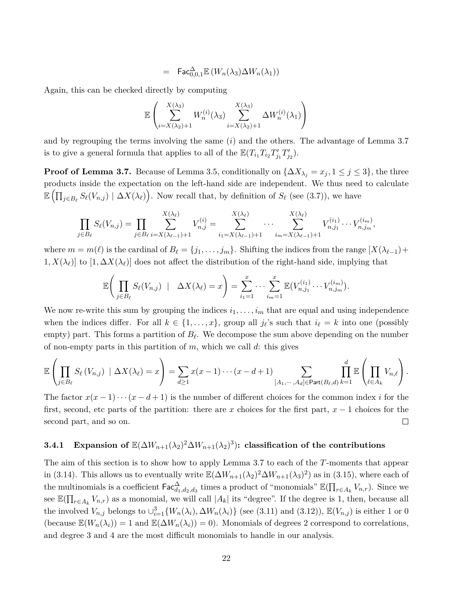$$
= \operatorname{\textsf{Fac}}^{\Delta}_{0,0,1} \mathbb{E} \left( W_n(\lambda_3) \Delta W_n(\lambda_1) \right)
$$

Again, this can be checked directly by computing

$$
\mathbb{E}\left(\sum_{i=X(\lambda_2)+1}^{X(\lambda_3)} W_n^{(i)}(\lambda_3) \sum_{i=X(\lambda_2)+1}^{X(\lambda_3)} \Delta W_n^{(i)}(\lambda_1)\right)
$$

and by regrouping the terms involving the same (*i*) and the others. The advantage of Lemma 3.7 is to give a general formula that applies to all of the  $\mathbb{E}(T_{i_1}T_{i_2}T'_{j_1}T'_{j_2})$ .

**Proof of Lemma 3.7.** Because of Lemma 3.5, conditionally on  $\{\Delta X_{\lambda_i} = x_j, 1 \leq j \leq 3\}$ , the three products inside the expectation on the left-hand side are independent. We thus need to calculate  $\mathbb{E} \left( \prod_{j \in B_{\ell}} S_{\ell}(V_{n,j}) \mid \Delta X(\lambda_{\ell}) \right)$ . Now recall that, by definition of  $S_{\ell}$  (see (3.7)), we have

$$
\prod_{j\in B_{\ell}}S_{\ell}(V_{n,j})=\prod_{j\in B_{\ell}}\sum_{i=X(\lambda_{\ell-1})+1}^{X(\lambda_{\ell})}V_{n,j}^{(i)}=\sum_{i_1=X(\lambda_{\ell-1})+1}^{X(\lambda_{\ell})}\cdots\sum_{i_m=X(\lambda_{\ell-1})+1}^{X(\lambda_{\ell})}V_{n,j_1}^{(i_1)}\cdots V_{n,j_m}^{(i_m)},
$$

where  $m = m(\ell)$  is the cardinal of  $B_{\ell} = \{j_1, \ldots, j_m\}$ . Shifting the indices from the range  $[X(\lambda_{\ell-1}) +$  $1, X(\lambda_\ell)$  to  $[1, \Delta X(\lambda_\ell)]$  does not affect the distribution of the right-hand side, implying that

$$
\mathbb{E}\bigg(\prod_{j\in B_{\ell}}S_{\ell}(V_{n,j})\mid \Delta X(\lambda_{\ell})=x\bigg)=\sum_{i_1=1}^x\cdots\sum_{i_m=1}^x\mathbb{E}(V_{n,j_1}^{(i_1)}\cdots V_{n,j_m}^{(i_m)}).
$$

We now re-write this sum by grouping the indices  $i_1, \ldots, i_m$  that are equal and using independence when the indices differ. For all  $k \in \{1, \ldots, x\}$ , group all  $j_{\ell}$ 's such that  $i_{\ell} = k$  into one (possibly empty) part. This forms a partition of  $B_\ell$ . We decompose the sum above depending on the number of non-empty parts in this partition of *m*, which we call *d*: this gives

$$
\mathbb{E}\left(\prod_{j\in B_{\ell}}S_{\ell}(V_{n,j})\mid \Delta X(\lambda_{\ell})=x\right)=\sum_{d\geq 1}x(x-1)\cdots(x-d+1)\sum_{[A_{1},\cdots,A_{d}]\in \mathsf{Part}(B_{\ell},d)}\prod_{k=1}^{d}\mathbb{E}\left(\prod_{\ell\in A_{k}}V_{n,\ell}\right).
$$

The factor  $x(x-1)\cdots(x-d+1)$  is the number of different choices for the common index *i* for the first, second, etc parts of the partition: there are *x* choices for the first part, *x* − 1 choices for the second part, and so on.  $\Box$ 

### **3.4.1** Expansion of  $\mathbb{E}(\Delta W_{n+1}(\lambda_2)^2 \Delta W_{n+1}(\lambda_2)^3)$ : classification of the contributions

The aim of this section is to show how to apply Lemma 3.7 to each of the *T*-moments that appear in (3.14). This allows us to eventually write  $\mathbb{E}(\Delta W_{n+1}(\lambda_2)^2 \Delta W_{n+1}(\lambda_3)^2)$  as in (3.15), where each of the multinomials is a coefficient  $\textsf{Fac}^{\Delta}_{d_1,d_2,d_3}$  times a product of "monomials"  $\mathbb{E}(\prod_{r\in A_k} V_{n,r})$ . Since we see  $\mathbb{E}(\prod_{r\in A_k} V_{n,r})$  as a monomial, we will call  $|A_k|$  its "degree". If the degree is 1, then, because all the involved  $V_{n,j}$  belongs to  $\cup_{i=1}^{3} \{W_n(\lambda_i), \Delta W_n(\lambda_i)\}\$  (see (3.11) and (3.12)),  $\mathbb{E}(V_{n,j})$  is either 1 or 0 (because  $\mathbb{E}(W_n(\lambda_i)) = 1$  and  $\mathbb{E}(\Delta W_n(\lambda_i)) = 0$ ). Monomials of degrees 2 correspond to correlations, and degree 3 and 4 are the most difficult monomials to handle in our analysis.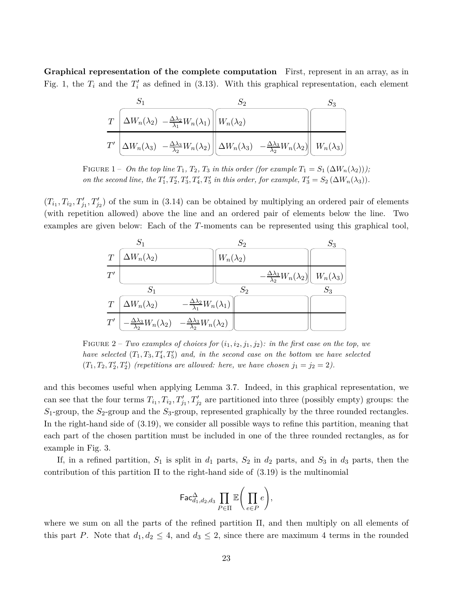**Graphical representation of the complete computation** First, represent in an array, as in Fig. 1, the  $T_i$  and the  $T'_i$  as defined in (3.13). With this graphical representation, each element

$$
\frac{S_1}{T} \frac{S_2}{\Delta W_n(\lambda_2) - \frac{\Delta \lambda_2}{\lambda_1} W_n(\lambda_1)} \frac{S_2}{W_n(\lambda_2)}
$$
\n
$$
\frac{1}{T'} \frac{1}{\Delta W_n(\lambda_3) - \frac{\Delta \lambda_3}{\lambda_2} W_n(\lambda_2)} \frac{1}{\Delta W_n(\lambda_3) - \frac{\Delta \lambda_3}{\lambda_2} W_n(\lambda_2)} \frac{1}{\Delta W_n(\lambda_3)}
$$

FIGURE 1 – *On the top line*  $T_1$ ,  $T_2$ ,  $T_3$  *in this order (for example*  $T_1 = S_1(\Delta W_n(\lambda_2))$ ); *on the second line, the*  $T'_1, T'_2, T'_3, T'_4, T'_5$  *in this order, for example,*  $T'_3 = S_2 (\Delta W_n(\lambda_3))$ *.* 

 $(T_{i_1}, T_{i_2}, T'_{j_1}, T'_{j_2})$  of the sum in (3.14) can be obtained by multiplying an ordered pair of elements (with repetition allowed) above the line and an ordered pair of elements below the line. Two examples are given below: Each of the *T*-moments can be represented using this graphical tool,



FIGURE 2 – *Two examples of choices for*  $(i_1, i_2, j_1, j_2)$ *: in the first case on the top, we have selected*  $(T_1, T_3, T_4', T_5')$  and, in the second case on the bottom we have selected  $(T_1, T_2, T'_2, T'_2)$  (repetitions are allowed: here, we have chosen  $j_1 = j_2 = 2$ ).

and this becomes useful when applying Lemma 3.7. Indeed, in this graphical representation, we can see that the four terms  $T_{i_1}, T_{i_2}, T'_{j_1}, T'_{j_2}$  are partitioned into three (possibly empty) groups: the *S*1-group, the *S*2-group and the *S*3-group, represented graphically by the three rounded rectangles. In the right-hand side of (3.19), we consider all possible ways to refine this partition, meaning that each part of the chosen partition must be included in one of the three rounded rectangles, as for example in Fig. 3.

If, in a refined partition,  $S_1$  is split in  $d_1$  parts,  $S_2$  in  $d_2$  parts, and  $S_3$  in  $d_3$  parts, then the contribution of this partition  $\Pi$  to the right-hand side of (3.19) is the multinomial

$$
\mathsf{Fac}^\Delta_{d_1,d_2,d_3} \prod_{P\in\Pi} \mathbb{E}\Bigg(\prod_{e\in P} e\Bigg),
$$

where we sum on all the parts of the refined partition Π, and then multiply on all elements of this part *P*. Note that  $d_1, d_2 \leq 4$ , and  $d_3 \leq 2$ , since there are maximum 4 terms in the rounded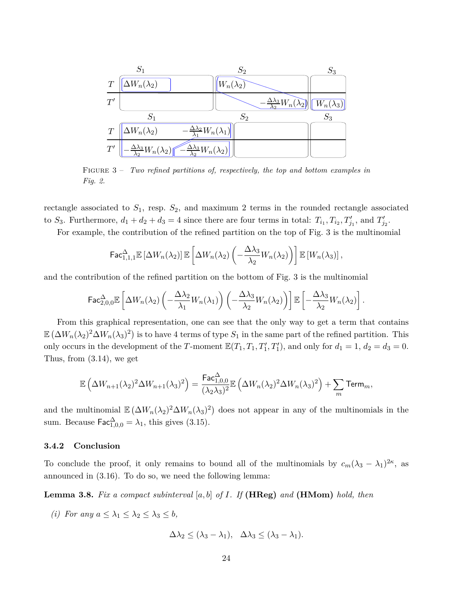

Figure 3 – *Two refined partitions of, respectively, the top and bottom examples in Fig. 2.*

rectangle associated to *S*1, resp. *S*2, and maximum 2 terms in the rounded rectangle associated to  $S_3$ . Furthermore,  $d_1 + d_2 + d_3 = 4$  since there are four terms in total:  $T_{i_1}, T_{i_2}, T'_{j_1}$ , and  $T'_{j_2}$ .

For example, the contribution of the refined partition on the top of Fig. 3 is the multinomial

$$
\mathsf{Fac}_{1,1,1}^{\Delta} \mathbb{E}\left[\Delta W_n(\lambda_2)\right] \mathbb{E}\left[\Delta W_n(\lambda_2)\left(-\frac{\Delta \lambda_3}{\lambda_2}W_n(\lambda_2)\right)\right] \mathbb{E}\left[W_n(\lambda_3)\right],
$$

and the contribution of the refined partition on the bottom of Fig. 3 is the multinomial

$$
\mathsf{Fac}^{\Delta}_{2,0,0} \mathbb{E}\left[\Delta W_n(\lambda_2) \left(-\frac{\Delta \lambda_2}{\lambda_1} W_n(\lambda_1)\right) \left(-\frac{\Delta \lambda_3}{\lambda_2} W_n(\lambda_2)\right)\right] \mathbb{E}\left[-\frac{\Delta \lambda_3}{\lambda_2} W_n(\lambda_2)\right].
$$

From this graphical representation, one can see that the only way to get a term that contains  $\mathbb{E}(\Delta W_n(\lambda_2)^2 \Delta W_n(\lambda_3)^2)$  is to have 4 terms of type  $S_1$  in the same part of the refined partition. This only occurs in the development of the *T*-moment  $\mathbb{E}(T_1, T_1, T'_1, T'_1)$ , and only for  $d_1 = 1, d_2 = d_3 = 0$ . Thus, from (3.14), we get

$$
\mathbb{E}\left(\Delta W_{n+1}(\lambda_2)^2 \Delta W_{n+1}(\lambda_3)^2\right) = \frac{\text{Fac}^{\Delta}_{1,0,0}}{(\lambda_2 \lambda_3)^2} \mathbb{E}\left(\Delta W_n(\lambda_2)^2 \Delta W_n(\lambda_3)^2\right) + \sum_m \text{Term}_m,
$$

and the multinomial  $\mathbb{E} (\Delta W_n(\lambda_2)^2 \Delta W_n(\lambda_3)^2)$  does not appear in any of the multinomials in the sum. Because  $\mathsf{Fac}^{\Delta}_{1,0,0} = \lambda_1$ , this gives (3.15).

#### **3.4.2 Conclusion**

To conclude the proof, it only remains to bound all of the multinomials by  $c_m(\lambda_3 - \lambda_1)^{2\kappa}$ , as announced in (3.16). To do so, we need the following lemma:

**Lemma 3.8.** *Fix a compact subinterval* [*a, b*] *of I. If* **(HReg)** *and* **(HMom)** *hold, then*

*(i) For any*  $a \leq \lambda_1 \leq \lambda_2 \leq \lambda_3 \leq b$ ,

$$
\Delta\lambda_2 \leq (\lambda_3 - \lambda_1), \quad \Delta\lambda_3 \leq (\lambda_3 - \lambda_1).
$$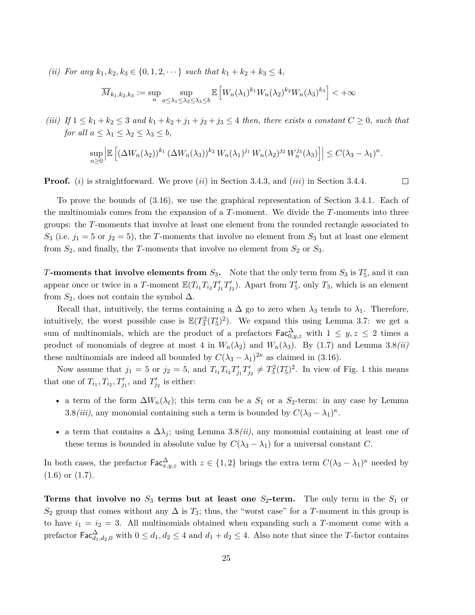*(ii) For any*  $k_1, k_2, k_3 \in \{0, 1, 2, \dots\}$  *such that*  $k_1 + k_2 + k_3 \leq 4$ *,* 

$$
\overline{M}_{k_1,k_2,k_3} := \sup_n \sup_{a \le \lambda_1 \le \lambda_2 \le \lambda_3 \le b} \mathbb{E}\left[W_n(\lambda_1)^{k_1} W_n(\lambda_2)^{k_2} W_n(\lambda_3)^{k_3}\right] < +\infty
$$

*(iii)* If  $1 \leq k_1 + k_2 \leq 3$  *and*  $k_1 + k_2 + j_1 + j_2 + j_3 \leq 4$  *then, there exists a constant*  $C \geq 0$ *, such that for all*  $a \leq \lambda_1 \leq \lambda_2 \leq \lambda_3 \leq b$ ,

$$
\sup_{n\geq 0} \left| \mathbb{E}\left[ \left( \Delta W_n(\lambda_2) \right)^{k_1} \left( \Delta W_n(\lambda_3) \right)^{k_2} W_n(\lambda_1)^{j_1} W_n(\lambda_2)^{j_2} W_n^{j_3}(\lambda_3) \right] \right| \leq C(\lambda_3 - \lambda_1)^{\kappa}.
$$

 $\Box$ 

**Proof.** (*i*) is straightforward. We prove (*ii*) in Section 3.4.3, and (*iii*) in Section 3.4.4.

To prove the bounds of (3.16), we use the graphical representation of Section 3.4.1. Each of the multinomials comes from the expansion of a *T*-moment. We divide the *T*-moments into three groups: the *T*-moments that involve at least one element from the rounded rectangle associated to  $S_3$  (i.e.  $j_1 = 5$  or  $j_2 = 5$ ), the *T*-moments that involve no element from  $S_3$  but at least one element from  $S_2$ , and finally, the *T*-moments that involve no element from  $S_2$  or  $S_3$ .

*T***-moments that involve elements from**  $S_3$ **.** Note that the only term from  $S_3$  is  $T_5'$ , and it can appear once or twice in a *T*-moment  $\mathbb{E}(T_{i_1}T_{i_2}T'_{j_1}T'_{j_2})$ . Apart from  $T'_{5}$ , only  $T_{3}$ , which is an element from  $S_2$ , does not contain the symbol  $\Delta$ .

Recall that, intuitively, the terms containing a  $\Delta$  go to zero when  $\lambda_3$  tends to  $\lambda_1$ . Therefore, intuitively, the worst possible case is  $\mathbb{E}(T_3^2(T_5')^2)$ . We expand this using Lemma 3.7: we get a sum of multinomials, which are the product of a prefactors  $\mathsf{Fac}^{\Delta}_{0,y,z}$  with  $1 \leq y, z \leq 2$  times a product of monomials of degree at most 4 in  $W_n(\lambda_2)$  and  $W_n(\lambda_3)$ . By (1.7) and Lemma 3.8*(ii)* these multinomials are indeed all bounded by  $C(\lambda_3 - \lambda_1)^{2\kappa}$  as claimed in (3.16).

Now assume that  $j_1 = 5$  or  $j_2 = 5$ , and  $T_{i_1} T_{i_2} T'_{j_1} T'_{j_2} \neq T_3^2 (T'_5)^2$ . In view of Fig. 1 this means that one of  $T_{i_1}, T_{i_2}, T'_{j_1}$ , and  $T'_{j_2}$  is either:

- a term of the form  $\Delta W_n(\lambda_\ell)$ ; this term can be a  $S_1$  or a  $S_2$ -term: in any case by Lemma 3.8*(iii)*, any monomial containing such a term is bounded by  $C(\lambda_3 - \lambda_1)^k$ .
- a term that contains a  $\Delta\lambda_i$ ; using Lemma 3.8*(ii)*, any monomial containing at least one of these terms is bounded in absolute value by  $C(\lambda_3 - \lambda_1)$  for a universal constant *C*.

In both cases, the prefactor  $\text{Fac}^{\Delta}_{x,y,z}$  with  $z \in \{1,2\}$  brings the extra term  $C(\lambda_3 - \lambda_1)^{\kappa}$  needed by (1.6) or (1.7).

**Terms that involve no**  $S_3$  **terms but at least one**  $S_2$ -**term.** The only term in the  $S_1$  or  $S_2$  group that comes without any  $\Delta$  is  $T_3$ ; thus, the "worst case" for a *T*-moment in this group is to have  $i_1 = i_2 = 3$ . All multinomials obtained when expanding such a T-moment come with a prefactor  $\mathsf{Fac}^{\Delta}_{d_1,d_2,0}$  with  $0 \leq d_1, d_2 \leq 4$  and  $d_1 + d_2 \leq 4$ . Also note that since the *T*-factor contains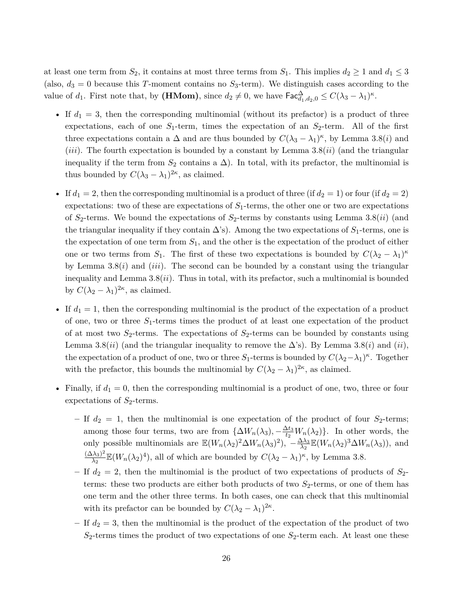at least one term from  $S_2$ , it contains at most three terms from  $S_1$ . This implies  $d_2 \geq 1$  and  $d_1 \leq 3$ (also,  $d_3 = 0$  because this *T*-moment contains no  $S_3$ -term). We distinguish cases according to the value of  $d_1$ . First note that, by (**HMom**), since  $d_2 \neq 0$ , we have  $\mathsf{Fac}_{d_1,d_2,0}^{\Delta} \leq C(\lambda_3 - \lambda_1)^{\kappa}$ .

- If  $d_1 = 3$ , then the corresponding multinomial (without its prefactor) is a product of three expectations, each of one  $S_1$ -term, times the expectation of an  $S_2$ -term. All of the first three expectations contain a  $\Delta$  and are thus bounded by  $C(\lambda_3 - \lambda_1)^k$ , by Lemma 3.8(*i*) and (*iii*). The fourth expectation is bounded by a constant by Lemma 3.8(*ii*) (and the triangular inequality if the term from  $S_2$  contains a  $\Delta$ ). In total, with its prefactor, the multinomial is thus bounded by  $C(\lambda_3 - \lambda_1)^{2\kappa}$ , as claimed.
- If  $d_1 = 2$ , then the corresponding multinomial is a product of three (if  $d_2 = 1$ ) or four (if  $d_2 = 2$ ) expectations: two of these are expectations of *S*1-terms, the other one or two are expectations of *S*2-terms. We bound the expectations of *S*2-terms by constants using Lemma 3.8(*ii*) (and the triangular inequality if they contain  $\Delta$ 's). Among the two expectations of  $S_1$ -terms, one is the expectation of one term from *S*1, and the other is the expectation of the product of either one or two terms from  $S_1$ . The first of these two expectations is bounded by  $C(\lambda_2 - \lambda_1)^{\kappa}$ by Lemma  $3.8(i)$  and *(iii)*. The second can be bounded by a constant using the triangular inequality and Lemma 3.8(*ii*). Thus in total, with its prefactor, such a multinomial is bounded by  $C(\lambda_2 - \lambda_1)^{2\kappa}$ , as claimed.
- If  $d_1 = 1$ , then the corresponding multinomial is the product of the expectation of a product of one, two or three *S*1-terms times the product of at least one expectation of the product of at most two  $S_2$ -terms. The expectations of  $S_2$ -terms can be bounded by constants using Lemma 3.8(*ii*) (and the triangular inequality to remove the  $\Delta$ 's). By Lemma 3.8(*i*) and (*ii*), the expectation of a product of one, two or three  $S_1$ -terms is bounded by  $C(\lambda_2-\lambda_1)^{\kappa}$ . Together with the prefactor, this bounds the multinomial by  $C(\lambda_2 - \lambda_1)^{2\kappa}$ , as claimed.
- Finally, if  $d_1 = 0$ , then the corresponding multinomial is a product of one, two, three or four expectations of  $S_2$ -terms.
	- $-$  If  $d_2 = 1$ , then the multinomial is one expectation of the product of four  $S_2$ -terms; among those four terms, two are from  $\{\Delta W_n(\lambda_3), -\frac{\Delta t_3}{t_2}W_n(\lambda_2)\}\$ . In other words, the only possible multinomials are  $\mathbb{E}(W_n(\lambda_2)^2 \Delta W_n(\lambda_3)^2)$ ,  $-\frac{\Delta \lambda_3}{\lambda_2}$  $\frac{\Delta\lambda_3}{\lambda_2}\mathbb{E}(W_n(\lambda_2)^3\Delta W_n(\lambda_3)),$  and  $(\Delta\lambda_3)^2$  $\frac{(\lambda_3)^2}{\lambda_2} \mathbb{E}(W_n(\lambda_2)^4)$ , all of which are bounded by  $C(\lambda_2 - \lambda_1)^{\kappa}$ , by Lemma 3.8.
	- If  $d_2 = 2$ , then the multinomial is the product of two expectations of products of  $S_2$ terms: these two products are either both products of two *S*2-terms, or one of them has one term and the other three terms. In both cases, one can check that this multinomial with its prefactor can be bounded by  $C(\lambda_2 - \lambda_1)^{2\kappa}$ .
	- **–** If *d*<sup>2</sup> = 3, then the multinomial is the product of the expectation of the product of two  $S_2$ -terms times the product of two expectations of one  $S_2$ -term each. At least one these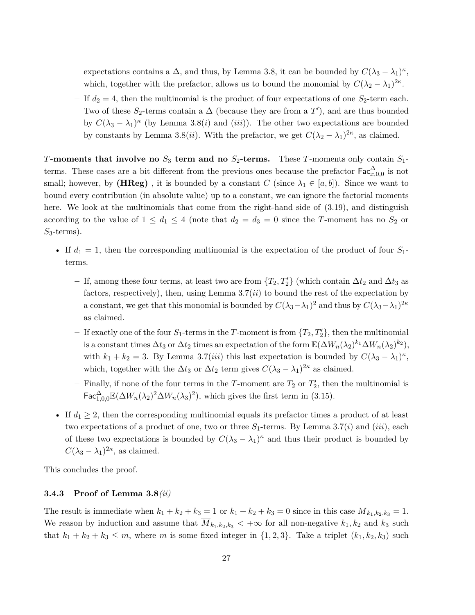expectations contains a  $\Delta$ , and thus, by Lemma 3.8, it can be bounded by  $C(\lambda_3 - \lambda_1)^k$ , which, together with the prefactor, allows us to bound the monomial by  $C(\lambda_2 - \lambda_1)^{2\kappa}$ .

– If  $d_2 = 4$ , then the multinomial is the product of four expectations of one  $S_2$ -term each. Two of these  $S_2$ -terms contain a  $\Delta$  (because they are from a  $T'$ ), and are thus bounded by  $C(\lambda_3 - \lambda_1)^{\kappa}$  (by Lemma 3.8(*i*) and (*iii*)). The other two expectations are bounded by constants by Lemma 3.8(*ii*). With the prefactor, we get  $C(\lambda_2 - \lambda_1)^{2\kappa}$ , as claimed.

*T***-moments that involve no** *S*<sup>3</sup> **term and no** *S*2**-terms.** These *T*-moments only contain *S*1 terms. These cases are a bit different from the previous ones because the prefactor  $\mathsf{Fac}^{\Delta}_{x,0,0}$  is not small; however, by **(HReg)**, it is bounded by a constant *C* (since  $\lambda_1 \in [a, b]$ ). Since we want to bound every contribution (in absolute value) up to a constant, we can ignore the factorial moments here. We look at the multinomials that come from the right-hand side of  $(3.19)$ , and distinguish according to the value of  $1 \leq d_1 \leq 4$  (note that  $d_2 = d_3 = 0$  since the *T*-moment has no  $S_2$  or *S*3-terms).

- If  $d_1 = 1$ , then the corresponding multinomial is the expectation of the product of four  $S_1$ terms.
	- $-$  If, among these four terms, at least two are from  $\{T_2, T'_2\}$  (which contain ∆*t*<sub>2</sub> and ∆*t*<sub>3</sub> as factors, respectively), then, using Lemma 3.7(*ii*) to bound the rest of the expectation by a constant, we get that this monomial is bounded by  $C(\lambda_3 - \lambda_1)^2$  and thus by  $C(\lambda_3 - \lambda_1)^{2\kappa}$ as claimed.
	- $-$  If exactly one of the four  $S_1$ -terms in the *T*-moment is from  $\{T_2, T_2'\}$ , then the multinomial is a constant times  $\Delta t_3$  or  $\Delta t_2$  times an expectation of the form  $\mathbb{E}(\Delta W_n(\lambda_2)^{k_1}\Delta W_n(\lambda_2)^{k_2}),$ with  $k_1 + k_2 = 3$ . By Lemma 3.7(*iii*) this last expectation is bounded by  $C(\lambda_3 - \lambda_1)^k$ , which, together with the  $\Delta t_3$  or  $\Delta t_2$  term gives  $C(\lambda_3 - \lambda_1)^{2\kappa}$  as claimed.
	- $-$  Finally, if none of the four terms in the *T*-moment are  $T_2$  or  $T_2'$ , then the multinomial is  $\mathsf{Fac}^{\Delta}_{1,0,0}\mathbb{E}(\Delta W_n(\lambda_2)^2\Delta W_n(\lambda_3)^2)$ , which gives the first term in (3.15).
- If  $d_1 \geq 2$ , then the corresponding multinomial equals its prefactor times a product of at least two expectations of a product of one, two or three  $S_1$ -terms. By Lemma 3.7(*i*) and (*iii*), each of these two expectations is bounded by  $C(\lambda_3 - \lambda_1)^k$  and thus their product is bounded by  $C(\lambda_3 - \lambda_1)^{2\kappa}$ , as claimed.

This concludes the proof.

#### **3.4.3 Proof of Lemma 3.8***(ii)*

The result is immediate when  $k_1 + k_2 + k_3 = 1$  or  $k_1 + k_2 + k_3 = 0$  since in this case  $\overline{M}_{k_1, k_2, k_3} = 1$ . We reason by induction and assume that  $\overline{M}_{k_1,k_2,k_3}$   $\lt +\infty$  for all non-negative  $k_1, k_2$  and  $k_3$  such that  $k_1 + k_2 + k_3 \leq m$ , where *m* is some fixed integer in  $\{1, 2, 3\}$ . Take a triplet  $(k_1, k_2, k_3)$  such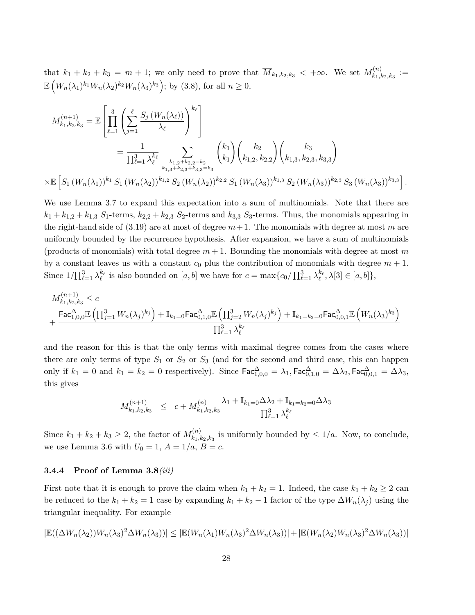that  $k_1 + k_2 + k_3 = m + 1$ ; we only need to prove that  $\overline{M}_{k_1,k_2,k_3} < +\infty$ . We set  $M_{k_1,l_3}^{(n)}$  $\binom{n}{k_1,k_2,k_3} :=$  $\mathbb{E}\left(W_n(\lambda_1)^{k_1}W_n(\lambda_2)^{k_2}W_n(\lambda_3)^{k_3}\right);$  by (3.8), for all  $n \geq 0$ ,

$$
M_{k_1,k_2,k_3}^{(n+1)} = \mathbb{E}\left[\prod_{\ell=1}^3 \left(\sum_{j=1}^\ell \frac{S_j(W_n(\lambda_\ell))}{\lambda_\ell}\right)^{k_\ell}\right]
$$
  
\n
$$
= \frac{1}{\prod_{\ell=1}^3 \lambda_\ell^{k_\ell}} \sum_{k_1, 2+k_2, 2=k_2 \atop k_1, 3+k_2, 3+k_3, 3=k_3} {k_1 \choose k_1} {k_2 \choose k_1, 2, k_2, 2} {k_3 \choose k_1, 3, k_2, 3, k_3, 3}
$$
  
\n
$$
\times \mathbb{E}\left[S_1(W_n(\lambda_1))^{k_1} S_1(W_n(\lambda_2))^{k_1, 2} S_2(W_n(\lambda_2))^{k_2, 2} S_1(W_n(\lambda_3))^{k_1, 3} S_2(W_n(\lambda_3))^{k_2, 3} S_3(W_n(\lambda_3))^{k_3, 3}\right].
$$

We use Lemma 3.7 to expand this expectation into a sum of multinomials. Note that there are  $k_1 + k_{1,2} + k_{1,3}$  *S*<sub>1</sub>-terms,  $k_{2,2} + k_{2,3}$  *S*<sub>2</sub>-terms and  $k_{3,3}$  *S*<sub>3</sub>-terms. Thus, the monomials appearing in the right-hand side of  $(3.19)$  are at most of degree  $m+1$ . The monomials with degree at most m are uniformly bounded by the recurrence hypothesis. After expansion, we have a sum of multinomials (products of monomials) with total degree  $m + 1$ . Bounding the monomials with degree at most m by a constant leaves us with a constant  $c_0$  plus the contribution of monomials with degree  $m + 1$ . Since  $1/\prod_{\ell=1}^3 \lambda_\ell^{k_\ell}$  is also bounded on  $[a, b]$  we have for  $c = \max\{c_0/\prod_{\ell=1}^3 \lambda_\ell^{k_\ell}, \lambda[3] \in [a, b]\},$ 

$$
\begin{aligned} &M_{k_1,k_2,k_3}^{(n+1)} \leq c \\ &\qquad + \frac{\mathsf{Fac}^\Delta_{1,0,0} \mathbb{E}\left(\prod_{j=1}^3 W_n(\lambda_j)^{k_j}\right) + \mathbb{I}_{k_1=0} \mathsf{Fac}^\Delta_{0,1,0} \mathbb{E}\left(\prod_{j=2}^3 W_n(\lambda_j)^{k_j}\right) + \mathbb{I}_{k_1=k_2=0} \mathsf{Fac}^\Delta_{0,0,1} \mathbb{E}\left(W_n(\lambda_3)^{k_3}\right)}{\prod_{\ell=1}^3 \lambda_\ell^{k_\ell}} \end{aligned}
$$

and the reason for this is that the only terms with maximal degree comes from the cases where there are only terms of type  $S_1$  or  $S_2$  or  $S_3$  (and for the second and third case, this can happen only if  $k_1 = 0$  and  $k_1 = k_2 = 0$  respectively). Since  $\mathsf{Fac}^{\Delta}_{1,0,0} = \lambda_1, \mathsf{Fac}^{\Delta}_{0,1,0} = \Delta \lambda_2, \mathsf{Fac}^{\Delta}_{0,0,1} = \Delta \lambda_3,$ this gives

$$
M_{k_1,k_2,k_3}^{(n+1)} \leq c + M_{k_1,k_2,k_3}^{(n)} \frac{\lambda_1 + \mathbb{I}_{k_1=0} \Delta \lambda_2 + \mathbb{I}_{k_1=k_2=0} \Delta \lambda_3}{\prod_{\ell=1}^3 \lambda_\ell^{k_\ell}}
$$

Since  $k_1 + k_2 + k_3 \geq 2$ , the factor of  $M_{k_1, l_1}^{(n)}$  $k_1, k_2, k_3$  is uniformly bounded by  $\leq 1/a$ . Now, to conclude, we use Lemma 3.6 with  $U_0 = 1$ ,  $A = 1/a$ ,  $B = c$ .

#### **3.4.4 Proof of Lemma 3.8***(iii)*

First note that it is enough to prove the claim when  $k_1 + k_2 = 1$ . Indeed, the case  $k_1 + k_2 \geq 2$  can be reduced to the  $k_1 + k_2 = 1$  case by expanding  $k_1 + k_2 - 1$  factor of the type  $\Delta W_n(\lambda_j)$  using the triangular inequality. For example

$$
|\mathbb{E}((\Delta W_n(\lambda_2))W_n(\lambda_3)^2\Delta W_n(\lambda_3))| \leq |\mathbb{E}(W_n(\lambda_1)W_n(\lambda_3)^2\Delta W_n(\lambda_3))| + |\mathbb{E}(W_n(\lambda_2)W_n(\lambda_3)^2\Delta W_n(\lambda_3))|
$$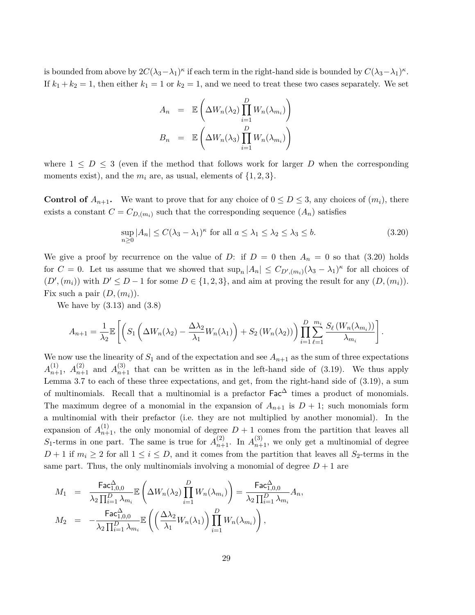is bounded from above by  $2C(\lambda_3-\lambda_1)^\kappa$  if each term in the right-hand side is bounded by  $C(\lambda_3-\lambda_1)^\kappa$ . If  $k_1 + k_2 = 1$ , then either  $k_1 = 1$  or  $k_2 = 1$ , and we need to treat these two cases separately. We set

$$
A_n = \mathbb{E}\left(\Delta W_n(\lambda_2) \prod_{i=1}^D W_n(\lambda_{m_i})\right)
$$

$$
B_n = \mathbb{E}\left(\Delta W_n(\lambda_3) \prod_{i=1}^D W_n(\lambda_{m_i})\right)
$$

where  $1 \leq D \leq 3$  (even if the method that follows work for larger *D* when the corresponding moments exist), and the  $m_i$  are, as usual, elements of  $\{1, 2, 3\}$ .

**Control of**  $A_{n+1}$ . We want to prove that for any choice of  $0 \le D \le 3$ , any choices of  $(m_i)$ , there exists a constant  $C = C_{D,(m_i)}$  such that the corresponding sequence  $(A_n)$  satisfies

$$
\sup_{n\geq 0} |A_n| \leq C(\lambda_3 - \lambda_1)^{\kappa} \text{ for all } a \leq \lambda_1 \leq \lambda_2 \leq \lambda_3 \leq b. \tag{3.20}
$$

We give a proof by recurrence on the value of *D*: if  $D = 0$  then  $A_n = 0$  so that (3.20) holds for  $C = 0$ . Let us assume that we showed that  $\sup_n |A_n| \leq C_{D',(m_i)} (\lambda_3 - \lambda_1)^{\kappa}$  for all choices of  $(D', (m_i))$  with  $D' \leq D - 1$  for some  $D \in \{1, 2, 3\}$ , and aim at proving the result for any  $(D, (m_i))$ . Fix such a pair  $(D,(m_i))$ .

We have by  $(3.13)$  and  $(3.8)$ 

$$
A_{n+1} = \frac{1}{\lambda_2} \mathbb{E}\left[ \left( S_1 \left( \Delta W_n(\lambda_2) - \frac{\Delta \lambda_2}{\lambda_1} W_n(\lambda_1) \right) + S_2 \left( W_n(\lambda_2) \right) \right) \prod_{i=1}^D \sum_{\ell=1}^{m_i} \frac{S_{\ell} \left( W_n(\lambda_{m_i}) \right)}{\lambda_{m_i}} \right].
$$

We now use the linearity of  $S_1$  and of the expectation and see  $A_{n+1}$  as the sum of three expectations  $A_{n+1}^{(1)}$ ,  $A_{n+1}^{(2)}$  and  $A_{n+1}^{(3)}$  that can be written as in the left-hand side of (3.19). We thus apply Lemma 3.7 to each of these three expectations, and get, from the right-hand side of (3.19), a sum of multinomials. Recall that a multinomial is a prefactor  $\mathsf{Fac}^{\Delta}$  times a product of monomials. The maximum degree of a monomial in the expansion of  $A_{n+1}$  is  $D+1$ ; such monomials form a multinomial with their prefactor (i.e. they are not multiplied by another monomial). In the expansion of  $A_{n+1}^{(1)}$ , the only monomial of degree  $D+1$  comes from the partition that leaves all  $S_1$ -terms in one part. The same is true for  $A_{n+1}^{(2)}$ . In  $A_{n+1}^{(3)}$ , we only get a multinomial of degree *D* + 1 if  $m_i \geq 2$  for all  $1 \leq i \leq D$ , and it comes from the partition that leaves all *S*<sub>2</sub>-terms in the same part. Thus, the only multinomials involving a monomial of degree  $D+1$  are

$$
M_1 = \frac{\operatorname{\text{Fac}}^{\Delta}_{1,0,0}}{\lambda_2 \prod_{i=1}^D \lambda_{m_i}} \mathbb{E}\left(\Delta W_n(\lambda_2) \prod_{i=1}^D W_n(\lambda_{m_i})\right) = \frac{\operatorname{\text{Fac}}^{\Delta}_{1,0,0}}{\lambda_2 \prod_{i=1}^D \lambda_{m_i}} A_n,
$$
  

$$
M_2 = -\frac{\operatorname{\text{Fac}}^{\Delta}_{1,0,0}}{\lambda_2 \prod_{i=1}^D \lambda_{m_i}} \mathbb{E}\left(\left(\frac{\Delta \lambda_2}{\lambda_1} W_n(\lambda_1)\right) \prod_{i=1}^D W_n(\lambda_{m_i})\right),
$$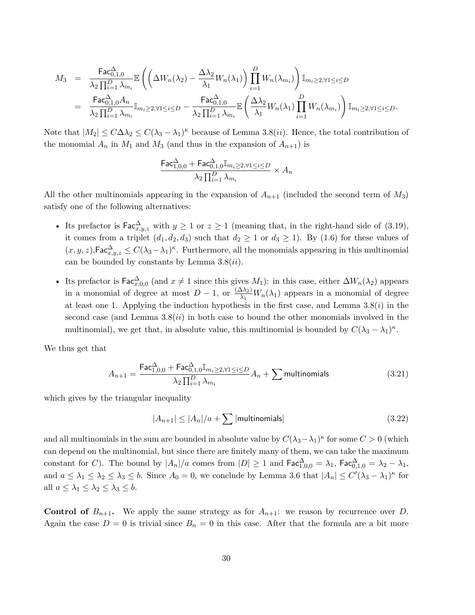$$
M_3 = \frac{\text{Fac}_{0,1,0}^{\Delta}}{\lambda_2 \prod_{i=1}^D \lambda_{m_i}} \mathbb{E}\left(\left(\Delta W_n(\lambda_2) - \frac{\Delta \lambda_2}{\lambda_1} W_n(\lambda_1)\right) \prod_{i=1}^D W_n(\lambda_{m_i})\right) \mathbb{I}_{m_i \geq 2, \forall 1 \leq i \leq D}
$$
  
= 
$$
\frac{\text{Fac}_{0,1,0}^{\Delta} A_n}{\lambda_2 \prod_{i=1}^D \lambda_{m_i}} \mathbb{I}_{m_i \geq 2, \forall 1 \leq i \leq D} - \frac{\text{Fac}_{0,1,0}^{\Delta}}{\lambda_2 \prod_{i=1}^D \lambda_{m_i}} \mathbb{E}\left(\frac{\Delta \lambda_2}{\lambda_1} W_n(\lambda_1) \prod_{i=1}^D W_n(\lambda_{m_i})\right) \mathbb{I}_{m_i \geq 2, \forall 1 \leq i \leq D}.
$$

Note that  $|M_2| \leq C\Delta\lambda_2 \leq C(\lambda_3 - \lambda_1)^\kappa$  because of Lemma 3.8(*ii*). Hence, the total contribution of the monomial  $A_n$  in  $M_1$  and  $M_3$  (and thus in the expansion of  $A_{n+1}$ ) is

$$
\frac{\text{Fac}^{\Delta}_{1,0,0} + \text{Fac}^{\Delta}_{0,1,0}\mathbb{I}_{m_i \geq 2, \forall 1 \leq i \leq D}}{\lambda_2 \prod_{i=1}^D \lambda_{m_i}} \times A_n
$$

All the other multinomials appearing in the expansion of  $A_{n+1}$  (included the second term of  $M_3$ ) satisfy one of the following alternatives:

- Its prefactor is  $\mathsf{Fac}^{\Delta}_{x,y,z}$  with  $y \geq 1$  or  $z \geq 1$  (meaning that, in the right-hand side of (3.19), it comes from a triplet  $(d_1, d_2, d_3)$  such that  $d_2 \geq 1$  or  $d_3 \geq 1$ ). By (1.6) for these values of  $(x, y, z)$ , Fac $\Delta^{\Delta}_{x, y, z} \leq C(\lambda_3 - \lambda_1)^{\kappa}$ . Furthermore, all the monomials appearing in this multinomial can be bounded by constants by Lemma 3.8(*ii*).
- Its prefactor is  $\text{Fac}_{x,0,0}^{\Delta}$  (and  $x \neq 1$  since this gives *M*<sub>1</sub>): in this case, either  $\Delta W_n(\lambda_2)$  appears in a monomial of degree at most  $D-1$ , or  $\frac{(\Delta \lambda_2)}{\lambda_1} W_n(\lambda_1)$  appears in a monomial of degree at least one 1. Applying the induction hypothesis in the first case, and Lemma 3.8(*i*) in the second case (and Lemma 3.8(*ii*) in both case to bound the other monomials involved in the multinomial), we get that, in absolute value, this multinomial is bounded by  $C(\lambda_3 - \lambda_1)^k$ .

We thus get that

$$
A_{n+1} = \frac{\text{Fac}_{1,0,0}^{\Delta} + \text{Fac}_{0,1,0}^{\Delta} \mathbb{I}_{m_i \ge 2, \forall 1 \le i \le D}}{\lambda_2 \prod_{i=1}^{D} \lambda_{m_i}} A_n + \sum \text{multinomials}
$$
 (3.21)

which gives by the triangular inequality

$$
|A_{n+1}| \le |A_n|/a + \sum |\text{multinomials}| \tag{3.22}
$$

and all multinomials in the sum are bounded in absolute value by  $C(\lambda_3-\lambda_1)^\kappa$  for some  $C>0$  (which can depend on the multinomial, but since there are finitely many of them, we can take the maximum constant for *C*). The bound by  $|A_n|/a$  comes from  $|D| \ge 1$  and  $\mathsf{Fac}^{\Delta}_{1,0,0} = \lambda_1$ ,  $\mathsf{Fac}^{\Delta}_{0,1,0} = \lambda_2 - \lambda_1$ , and  $a \leq \lambda_1 \leq \lambda_2 \leq \lambda_3 \leq b$ . Since  $A_0 = 0$ , we conclude by Lemma 3.6 that  $|A_n| \leq C'(\lambda_3 - \lambda_1)^\kappa$  for all  $a \leq \lambda_1 \leq \lambda_2 \leq \lambda_3 \leq b$ .

**Control of**  $B_{n+1}$ . We apply the same strategy as for  $A_{n+1}$ : we reason by recurrence over *D*. Again the case  $D = 0$  is trivial since  $B_n = 0$  in this case. After that the formula are a bit more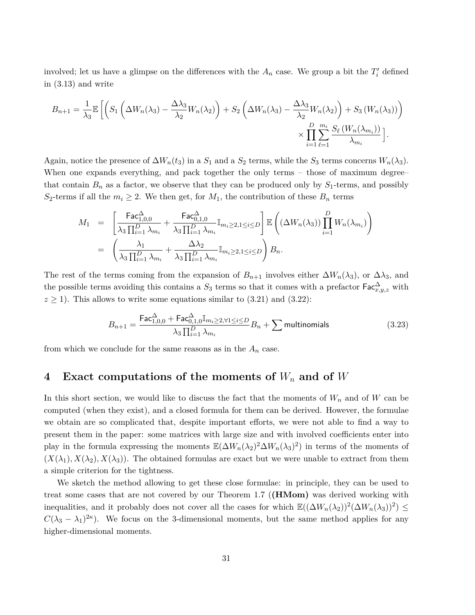involved; let us have a glimpse on the differences with the  $A_n$  case. We group a bit the  $T_i'$  defined in (3.13) and write

$$
B_{n+1} = \frac{1}{\lambda_3} \mathbb{E} \left[ \left( S_1 \left( \Delta W_n(\lambda_3) - \frac{\Delta \lambda_3}{\lambda_2} W_n(\lambda_2) \right) + S_2 \left( \Delta W_n(\lambda_3) - \frac{\Delta \lambda_3}{\lambda_2} W_n(\lambda_2) \right) + S_3 \left( W_n(\lambda_3) \right) \right) \right] \times \prod_{i=1}^D \sum_{\ell=1}^{m_i} \frac{S_{\ell} \left( W_n(\lambda_{m_i}) \right)}{\lambda_{m_i}} \right].
$$

Again, notice the presence of  $\Delta W_n(t_3)$  in a  $S_1$  and a  $S_2$  terms, while the  $S_3$  terms concerns  $W_n(\lambda_3)$ . When one expands everything, and pack together the only terms – those of maximum degree– that contain  $B_n$  as a factor, we observe that they can be produced only by  $S_1$ -terms, and possibly *S*<sub>2</sub>-terms if all the  $m_i \geq 2$ . We then get, for  $M_1$ , the contribution of these  $B_n$  terms

$$
\begin{array}{rcl} M_1 &=& \left[\frac{\mathsf{Fac}^{\Delta}_{1,0,0}}{\lambda_3 \prod_{i=1}^D \lambda_{m_i}} + \frac{\mathsf{Fac}^{\Delta}_{0,1,0}}{\lambda_3 \prod_{i=1}^D \lambda_{m_i}} \mathbb{I}_{m_i \geq 2,1 \leq i \leq D}\right] \mathbb{E}\left((\Delta W_n(\lambda_3)) \prod_{i=1}^D W_n(\lambda_{m_i})\right) \\ &=& \left(\frac{\lambda_1}{\lambda_3 \prod_{i=1}^D \lambda_{m_i}} + \frac{\Delta \lambda_2}{\lambda_3 \prod_{i=1}^D \lambda_{m_i}} \mathbb{I}_{m_i \geq 2,1 \leq i \leq D}\right) B_n. \end{array}
$$

The rest of the terms coming from the expansion of  $B_{n+1}$  involves either  $\Delta W_n(\lambda_3)$ , or  $\Delta \lambda_3$ , and the possible terms avoiding this contains a  $S_3$  terms so that it comes with a prefactor  $\mathsf{Fac}^{\Delta}_{x,y,z}$  with  $z \ge 1$ ). This allows to write some equations similar to  $(3.21)$  and  $(3.22)$ :

$$
B_{n+1} = \frac{\text{Fac}_{1,0,0}^{\Delta} + \text{Fac}_{0,1,0}^{\Delta} \mathbb{I}_{m_i \ge 2, \forall 1 \le i \le D}}{\lambda_3 \prod_{i=1}^{D} \lambda_{m_i}} B_n + \sum \text{multinomials}
$$
 (3.23)

from which we conclude for the same reasons as in the  $A_n$  case.

### **4 Exact computations of the moments of** *W<sup>n</sup>* **and of** *W*

In this short section, we would like to discuss the fact that the moments of *W<sup>n</sup>* and of *W* can be computed (when they exist), and a closed formula for them can be derived. However, the formulae we obtain are so complicated that, despite important efforts, we were not able to find a way to present them in the paper: some matrices with large size and with involved coefficients enter into play in the formula expressing the moments  $\mathbb{E}(\Delta W_n(\lambda_2)^2 \Delta W_n(\lambda_3)^2)$  in terms of the moments of  $(X(\lambda_1), X(\lambda_2), X(\lambda_3))$ . The obtained formulas are exact but we were unable to extract from them a simple criterion for the tightness.

We sketch the method allowing to get these close formulae: in principle, they can be used to treat some cases that are not covered by our Theorem 1.7 (**(HMom)** was derived working with inequalities, and it probably does not cover all the cases for which  $\mathbb{E}((\Delta W_n(\lambda_2))^2(\Delta W_n(\lambda_3))^2) \leq$  $C(\lambda_3 - \lambda_1)^{2\kappa}$ . We focus on the 3-dimensional moments, but the same method applies for any higher-dimensional moments.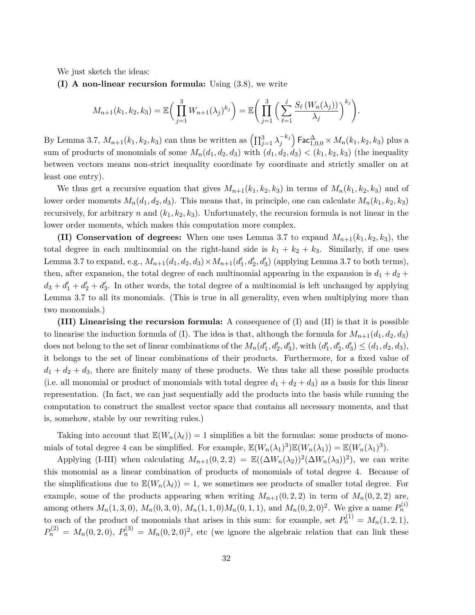We just sketch the ideas:

**(I) A non-linear recursion formula:** Using (3.8), we write

$$
M_{n+1}(k_1,k_2,k_3) = \mathbb{E}\bigg(\prod_{j=1}^3 W_{n+1}(\lambda_j)^{k_j}\bigg) = \mathbb{E}\bigg(\prod_{j=1}^3 \bigg(\sum_{\ell=1}^j \frac{S_{\ell}(W_n(\lambda_j))}{\lambda_j}\bigg)^{k_j}\bigg).
$$

By Lemma 3.7,  $M_{n+1}(k_1, k_2, k_3)$  can thus be written as  $\left(\prod_{j=1}^3 \lambda_j^{-k_j}\right)$  $\binom{-k_j}{j}$  Fac $\Delta_{1,0,0}^{\Delta} \times M_n(k_1,k_2,k_3)$  plus a sum of products of monomials of some  $M_n(d_1, d_2, d_3)$  with  $(d_1, d_2, d_3) < (k_1, k_2, k_3)$  (the inequality between vectors means non-strict inequality coordinate by coordinate and strictly smaller on at least one entry).

We thus get a recursive equation that gives  $M_{n+1}(k_1, k_2, k_3)$  in terms of  $M_n(k_1, k_2, k_3)$  and of lower order moments  $M_n(d_1, d_2, d_3)$ . This means that, in principle, one can calculate  $M_n(k_1, k_2, k_3)$ recursively, for arbitrary *n* and  $(k_1, k_2, k_3)$ . Unfortunately, the recursion formula is not linear in the lower order moments, which makes this computation more complex.

**(II) Conservation of degrees:** When one uses Lemma 3.7 to expand  $M_{n+1}(k_1, k_2, k_3)$ , the total degree in each multinomial on the right-hand side is  $k_1 + k_2 + k_3$ . Similarly, if one uses Lemma 3.7 to expand, e.g.,  $M_{n+1}(d_1, d_2, d_3) \times M_{n+1}(d'_1, d'_2, d'_3)$  (applying Lemma 3.7 to both terms), then, after expansion, the total degree of each multinomial appearing in the expansion is  $d_1 + d_2 +$  $d_3 + d_1' + d_2' + d_3'$ . In other words, the total degree of a multinomial is left unchanged by applying Lemma 3.7 to all its monomials. (This is true in all generality, even when multiplying more than two monomials.)

**(III) Linearising the recursion formula:** A consequence of (I) and (II) is that it is possible to linearise the induction formula of (I). The idea is that, although the formula for  $M_{n+1}(d_1, d_2, d_3)$ does not belong to the set of linear combinations of the  $M_n(d'_1, d'_2, d'_3)$ , with  $(d'_1, d'_2, d'_3) \leq (d_1, d_2, d_3)$ , it belongs to the set of linear combinations of their products. Furthermore, for a fixed value of  $d_1 + d_2 + d_3$ , there are finitely many of these products. We thus take all these possible products (i.e. all monomial or product of monomials with total degree  $d_1 + d_2 + d_3$ ) as a basis for this linear representation. (In fact, we can just sequentially add the products into the basis while running the computation to construct the smallest vector space that contains all necessary moments, and that is, somehow, stable by our rewriting rules.)

Taking into account that  $\mathbb{E}(W_n(\lambda_\ell)) = 1$  simplifies a bit the formulas: some products of monomials of total degree 4 can be simplified. For example,  $\mathbb{E}(W_n(\lambda_1)^3)\mathbb{E}(W_n(\lambda_1)) = \mathbb{E}(W_n(\lambda_1)^3)$ .

Applying (I-III) when calculating  $M_{n+1}(0, 2, 2) = \mathbb{E}((\Delta W_n(\lambda_2))^2(\Delta W_n(\lambda_3))^2)$ , we can write this monomial as a linear combination of products of monomials of total degree 4. Because of the simplifications due to  $\mathbb{E}(W_n(\lambda_\ell)) = 1$ , we sometimes see products of smaller total degree. For example, some of the products appearing when writing  $M_{n+1}(0, 2, 2)$  in term of  $M_n(0, 2, 2)$  are, among others  $M_n(1,3,0)$ ,  $M_n(0,3,0)$ ,  $M_n(1,1,0)M_n(0,1,1)$ , and  $M_n(0,2,0)^2$ . We give a name  $P_n^{(i)}$ to each of the product of monomials that arises in this sum: for example, set  $P_n^{(1)} = M_n(1, 2, 1)$ ,  $P_n^{(2)} = M_n(0, 2, 0), P_n^{(3)} = M_n(0, 2, 0)^2$ , etc (we ignore the algebraic relation that can link these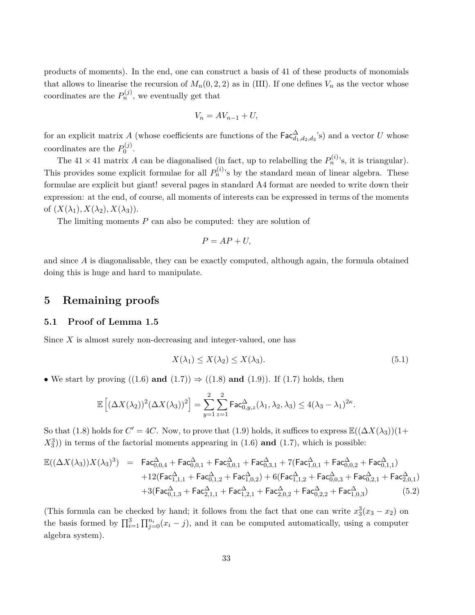products of moments). In the end, one can construct a basis of 41 of these products of monomials that allows to linearise the recursion of  $M_n(0, 2, 2)$  as in (III). If one defines  $V_n$  as the vector whose coordinates are the  $P_n^{(j)}$ , we eventually get that

$$
V_n = AV_{n-1} + U,
$$

for an explicit matrix *A* (whose coefficients are functions of the  $\text{Fac}_{d_1,d_2,d_3}^{\Delta}$ 's) and a vector *U* whose coordinates are the  $P_0^{(j)}$  $\binom{J}{0}$ .

The  $41 \times 41$  matrix A can be diagonalised (in fact, up to relabelling the  $P_n^{(i)}$ 's, it is triangular). This provides some explicit formulae for all  $P_n^{(i)}$ 's by the standard mean of linear algebra. These formulae are explicit but giant! several pages in standard A4 format are needed to write down their expression: at the end, of course, all moments of interests can be expressed in terms of the moments of  $(X(\lambda_1), X(\lambda_2), X(\lambda_3))$ .

The limiting moments *P* can also be computed: they are solution of

$$
P = AP + U,
$$

and since *A* is diagonalisable, they can be exactly computed, although again, the formula obtained doing this is huge and hard to manipulate.

#### **5 Remaining proofs**

#### **5.1 Proof of Lemma 1.5**

Since *X* is almost surely non-decreasing and integer-valued, one has

$$
X(\lambda_1) \le X(\lambda_2) \le X(\lambda_3). \tag{5.1}
$$

• We start by proving  $((1.6)$  **and**  $(1.7)) \Rightarrow ((1.8)$  **and**  $(1.9))$ . If  $(1.7)$  holds, then

$$
\mathbb{E}\left[ (\Delta X(\lambda_2))^2 (\Delta X(\lambda_3))^2 \right] = \sum_{y=1}^2 \sum_{z=1}^2 \mathrm{Fac}^{\Delta}_{0,y,z}(\lambda_1, \lambda_2, \lambda_3) \le 4(\lambda_3 - \lambda_1)^{2\kappa}.
$$

So that (1.8) holds for  $C' = 4C$ . Now, to prove that (1.9) holds, it suffices to express  $\mathbb{E}((\Delta X(\lambda_3))(1+\Delta X)$ *X*<sup>3</sup> 3 )) in terms of the factorial moments appearing in (1.6) **and** (1.7), which is possible:

$$
\mathbb{E}((\Delta X(\lambda_3))X(\lambda_3)^3) = \text{Fac}_{0,0,4}^{\Delta} + \text{Fac}_{0,0,1}^{\Delta} + \text{Fac}_{0,0,1}^{\Delta} + \text{Fac}_{0,3,1}^{\Delta} + 7(\text{Fac}_{1,0,1}^{\Delta} + \text{Fac}_{0,0,2}^{\Delta} + \text{Fac}_{0,1,1}^{\Delta}) \n+ 12(\text{Fac}_{1,1,1}^{\Delta} + \text{Fac}_{0,1,2}^{\Delta} + \text{Fac}_{1,0,2}^{\Delta}) + 6(\text{Fac}_{1,1,2}^{\Delta} + \text{Fac}_{0,0,3}^{\Delta} + \text{Fac}_{0,2,1}^{\Delta} + \text{Fac}_{2,0,1}^{\Delta}) \n+ 3(\text{Fac}_{0,1,3}^{\Delta} + \text{Fac}_{2,1,1}^{\Delta} + \text{Fac}_{1,2,1}^{\Delta} + \text{Fac}_{2,0,2}^{\Delta} + \text{Fac}_{0,2,2}^{\Delta} + \text{Fac}_{1,0,3}^{\Delta})
$$
\n(5.2)

(This formula can be checked by hand; it follows from the fact that one can write  $x_3^3(x_3 - x_2)$  on the basis formed by  $\prod_{i=1}^{3} \prod_{j=0}^{n_i} (x_i - j)$ , and it can be computed automatically, using a computer algebra system).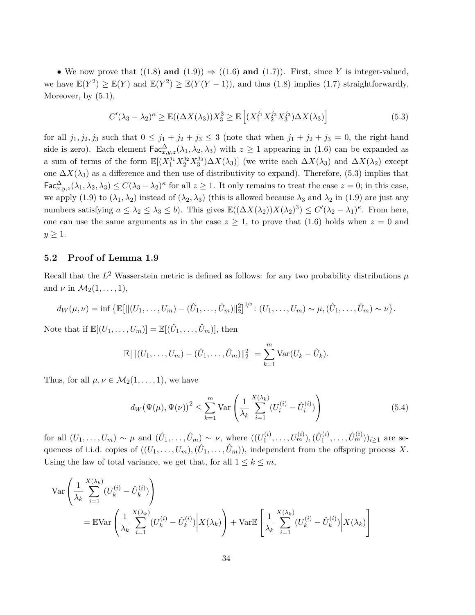• We now prove that  $((1.8)$  **and**  $(1.9)) \Rightarrow ((1.6)$  **and**  $(1.7))$ . First, since *Y* is integer-valued, we have  $\mathbb{E}(Y^2) \geq \mathbb{E}(Y)$  and  $\mathbb{E}(Y^2) \geq \mathbb{E}(Y(Y-1))$ , and thus (1.8) implies (1.7) straightforwardly. Moreover, by  $(5.1)$ ,

$$
C'(\lambda_3 - \lambda_2)^{\kappa} \ge \mathbb{E}((\Delta X(\lambda_3))X_3^3 \ge \mathbb{E}\left[ (X_1^{j_1}X_2^{j_2}X_3^{j_3})\Delta X(\lambda_3) \right]
$$
(5.3)

for all  $j_1, j_2, j_3$  such that  $0 \leq j_1 + j_2 + j_3 \leq 3$  (note that when  $j_1 + j_2 + j_3 = 0$ , the right-hand side is zero). Each element  $\text{Fac}^{\Delta}_{x,y,z}(\lambda_1,\lambda_2,\lambda_3)$  with  $z \geq 1$  appearing in (1.6) can be expanded as a sum of terms of the form  $\mathbb{E}[(X_1^{j_1}X_2^{j_2}X_3^{j_3})\Delta X(\lambda_3)]$  (we write each  $\Delta X(\lambda_3)$  and  $\Delta X(\lambda_2)$  except one  $\Delta X(\lambda_3)$  as a difference and then use of distributivity to expand). Therefore, (5.3) implies that  $\mathsf{Fac}_{x,y,z}^{\Delta}(\lambda_1, \lambda_2, \lambda_3) \leq C(\lambda_3 - \lambda_2)^{\kappa}$  for all  $z \geq 1$ . It only remains to treat the case  $z = 0$ ; in this case, we apply (1.9) to  $(\lambda_1, \lambda_2)$  instead of  $(\lambda_2, \lambda_3)$  (this is allowed because  $\lambda_3$  and  $\lambda_2$  in (1.9) are just any numbers satisfying  $a \leq \lambda_2 \leq \lambda_3 \leq b$ ). This gives  $\mathbb{E}((\Delta X(\lambda_2))X(\lambda_2)^3) \leq C'(\lambda_2 - \lambda_1)^{\kappa}$ . From here, one can use the same arguments as in the case  $z \geq 1$ , to prove that (1.6) holds when  $z = 0$  and  $y \geq 1$ .

#### **5.2 Proof of Lemma 1.9**

Recall that the  $L^2$  Wasserstein metric is defined as follows: for any two probability distributions  $\mu$ and  $\nu$  in  $\mathcal{M}_2(1,\ldots,1)$ ,

$$
d_W(\mu,\nu) = \inf \{ \mathbb{E}[\|(U_1,\ldots,U_m) - (\hat{U}_1,\ldots,\hat{U}_m)\|_2^2 \}^{1/2} : (U_1,\ldots,U_m) \sim \mu, (\hat{U}_1,\ldots,\hat{U}_m) \sim \nu \}.
$$

Note that if  $\mathbb{E}[(U_1,\ldots,U_m)] = \mathbb{E}[(\hat{U}_1,\ldots,\hat{U}_m)],$  then

$$
\mathbb{E}[||(U_1,\ldots,U_m) - (\hat{U}_1,\ldots,\hat{U}_m)||_2^2] = \sum_{k=1}^m \text{Var}(U_k - \hat{U}_k).
$$

Thus, for all  $\mu, \nu \in M_2(1,\ldots,1)$ , we have

$$
d_W(\Psi(\mu), \Psi(\nu))^2 \le \sum_{k=1}^m \text{Var}\left(\frac{1}{\lambda_k} \sum_{i=1}^{X(\lambda_k)} (U_i^{(i)} - \hat{U}_i^{(i)})\right)
$$
(5.4)

for all  $(U_1, \ldots, U_m) \sim \mu$  and  $(\hat{U}_1, \ldots, \hat{U}_m) \sim \nu$ , where  $((U_1^{(i)})$  $\hat{U}_1^{(i)}, \ldots, \hat{U}_m^{(i)}), (\hat{U}_1^{(i)})$  $(\hat{U}_1^{(i)}, \ldots, \hat{U}_m^{(i)}))_{i \geq 1}$  are sequences of i.i.d. copies of  $((U_1, \ldots, U_m), (\hat{U}_1, \ldots, \hat{U}_m))$ , independent from the offspring process X. Using the law of total variance, we get that, for all  $1 \leq k \leq m$ ,

$$
\operatorname{Var}\left(\frac{1}{\lambda_k} \sum_{i=1}^{X(\lambda_k)} (U_k^{(i)} - \hat{U}_k^{(i)})\right)
$$
  
= 
$$
\mathbb{E} \operatorname{Var}\left(\frac{1}{\lambda_k} \sum_{i=1}^{X(\lambda_k)} (U_k^{(i)} - \hat{U}_k^{(i)}) \middle| X(\lambda_k)\right) + \operatorname{Var}\mathbb{E}\left[\frac{1}{\lambda_k} \sum_{i=1}^{X(\lambda_k)} (U_k^{(i)} - \hat{U}_k^{(i)}) \middle| X(\lambda_k)\right]
$$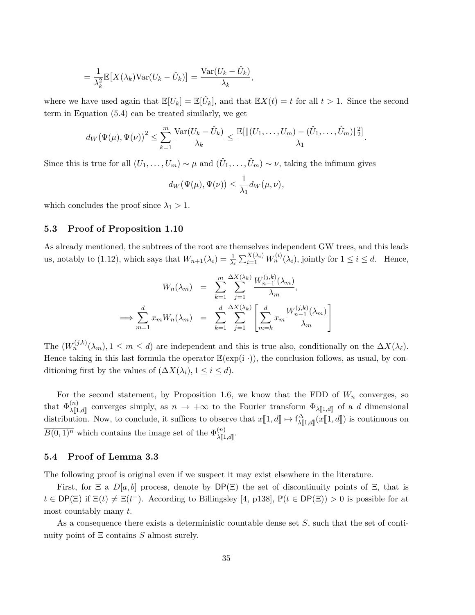$$
= \frac{1}{\lambda_k^2} \mathbb{E}[X(\lambda_k) \text{Var}(U_k - \hat{U}_k)] = \frac{\text{Var}(U_k - \hat{U}_k)}{\lambda_k},
$$

where we have used again that  $\mathbb{E}[U_k] = \mathbb{E}[\hat{U}_k]$ , and that  $\mathbb{E}[X(t)] = t$  for all  $t > 1$ . Since the second term in Equation (5.4) can be treated similarly, we get

$$
d_W(\Psi(\mu), \Psi(\nu))^2 \leq \sum_{k=1}^m \frac{\text{Var}(U_k - \hat{U}_k)}{\lambda_k} \leq \frac{\mathbb{E}[\|(U_1, \dots, U_m) - (\hat{U}_1, \dots, \hat{U}_m)\|_2^2]}{\lambda_1}
$$

*.*

Since this is true for all  $(U_1, \ldots, U_m) \sim \mu$  and  $(\hat{U}_1, \ldots, \hat{U}_m) \sim \nu$ , taking the infimum gives

$$
d_W(\Psi(\mu), \Psi(\nu)) \leq \frac{1}{\lambda_1} d_W(\mu, \nu),
$$

which concludes the proof since  $\lambda_1 > 1$ .

#### **5.3 Proof of Proposition 1.10**

As already mentioned, the subtrees of the root are themselves independent GW trees, and this leads us, notably to (1.12), which says that  $W_{n+1}(\lambda_i) = \frac{1}{\lambda_i} \sum_{i=1}^{X(\lambda_i)} W_n^{(i)}(\lambda_i)$ , jointly for  $1 \le i \le d$ . Hence,

$$
W_n(\lambda_m) = \sum_{k=1}^m \sum_{j=1}^{\Delta X(\lambda_k)} \frac{W_{n-1}^{(j,k)}(\lambda_m)}{\lambda_m},
$$
  

$$
\implies \sum_{m=1}^d x_m W_n(\lambda_m) = \sum_{k=1}^d \sum_{j=1}^{\Delta X(\lambda_k)} \left[ \sum_{m=k}^d x_m \frac{W_{n-1}^{(j,k)}(\lambda_m)}{\lambda_m} \right]
$$

The  $(W_n^{(j,k)}(\lambda_m), 1 \leq m \leq d)$  are independent and this is true also, conditionally on the  $\Delta X(\lambda_\ell)$ . Hence taking in this last formula the operator  $\mathbb{E}(\exp(i \cdot))$ , the conclusion follows, as usual, by conditioning first by the values of  $(\Delta X(\lambda_i), 1 \leq i \leq d)$ .

For the second statement, by Proposition 1.6, we know that the FDD of  $W_n$  converges, so that  $\Phi_{\lambda[\![1,d]\!]}^{(n)}$  converges simply, as  $n \to +\infty$  to the Fourier transform  $\Phi_{\lambda[\![1,d]\!]}$  of a *d* dimensional  $\lambda[\![1,d]\!]$ distribution. Now, to conclude, it suffices to observe that  $x[\![1, d]\!] \mapsto \mathsf{f}^{\Delta}_{\lambda[\![1, d]\!]}(x[\![1, d]\!])$  is continuous on  $\overline{B(0,1)^n}$  which contains the image set of the  $\Phi_{\text{ML}}^{(n)}$  $\lambda \llbracket 1,d \rrbracket$ .

#### **5.4 Proof of Lemma 3.3**

The following proof is original even if we suspect it may exist elsewhere in the literature.

First, for  $\Xi$  a  $D[a, b]$  process, denote by  $DP(\Xi)$  the set of discontinuity points of  $\Xi$ , that is  $t \in \text{DP}(\Xi)$  if  $\Xi(t) \neq \Xi(t^{-})$ . According to Billingsley [4, p138],  $\mathbb{P}(t \in \text{DP}(\Xi)) > 0$  is possible for at most countably many *t*.

As a consequence there exists a deterministic countable dense set *S*, such that the set of continuity point of Ξ contains *S* almost surely.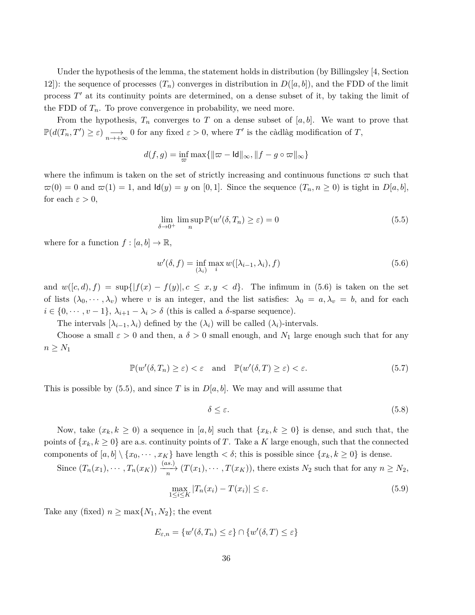Under the hypothesis of the lemma, the statement holds in distribution (by Billingsley [4, Section 12): the sequence of processes  $(T_n)$  converges in distribution in  $D([a, b])$ , and the FDD of the limit process T' at its continuity points are determined, on a dense subset of it, by taking the limit of the FDD of  $T_n$ . To prove convergence in probability, we need more.

From the hypothesis,  $T_n$  converges to  $T$  on a dense subset of  $[a, b]$ . We want to prove that  $\mathbb{P}(d(T_n, T') \geq \varepsilon) \xrightarrow[n \to +\infty]{} 0$  for any fixed  $\varepsilon > 0$ , where  $T'$  is the càdlàg modification of  $T$ ,

$$
d(f,g)=\inf_{\varpi}\max\{\|\varpi-\mathrm{Id}\|_\infty,\|f-g\circ\varpi\|_\infty\}
$$

where the infimum is taken on the set of strictly increasing and continuous functions  $\varpi$  such that  $\pi(0) = 0$  and  $\pi(1) = 1$ , and  $\text{Id}(y) = y$  on [0,1]. Since the sequence  $(T_n, n \ge 0)$  is tight in  $D[a, b]$ , for each  $\varepsilon > 0$ ,

$$
\lim_{\delta \to 0^+} \limsup_n \mathbb{P}(w'(\delta, T_n) \ge \varepsilon) = 0
$$
\n(5.5)

where for a function  $f : [a, b] \to \mathbb{R}$ ,

$$
w'(\delta, f) = \inf_{(\lambda_i)} \max_i w([\lambda_{i-1}, \lambda_i), f) \tag{5.6}
$$

and  $w([c, d), f) = \sup\{|f(x) - f(y)|, c \leq x, y < d\}.$  The infimum in (5.6) is taken on the set of lists  $(\lambda_0, \dots, \lambda_v)$  where *v* is an integer, and the list satisfies:  $\lambda_0 = a, \lambda_v = b$ , and for each  $i \in \{0, \dots, v-1\}, \lambda_{i+1} - \lambda_i > \delta$  (this is called a  $\delta$ -sparse sequence).

The intervals  $[\lambda_{i-1}, \lambda_i]$  defined by the  $(\lambda_i)$  will be called  $(\lambda_i)$ -intervals.

Choose a small  $\varepsilon > 0$  and then, a  $\delta > 0$  small enough, and  $N_1$  large enough such that for any  $n \geq N_1$ 

$$
\mathbb{P}(w'(\delta, T_n) \ge \varepsilon) < \varepsilon \quad \text{and} \quad \mathbb{P}(w'(\delta, T) \ge \varepsilon) < \varepsilon. \tag{5.7}
$$

This is possible by (5.5), and since *T* is in *D*[*a, b*]. We may and will assume that

$$
\delta \le \varepsilon. \tag{5.8}
$$

Now, take  $(x_k, k \geq 0)$  a sequence in [a, b] such that  $\{x_k, k \geq 0\}$  is dense, and such that, the points of  $\{x_k, k \geq 0\}$  are a.s. continuity points of *T*. Take a *K* large enough, such that the connected components of  $[a, b] \setminus \{x_0, \dots, x_K\}$  have length  $\lt \delta$ ; this is possible since  $\{x_k, k \ge 0\}$  is dense.

Since  $(T_n(x_1), \dots, T_n(x_K)) \xrightarrow[n]{(as.)} (T(x_1), \dots, T(x_K))$ , there exists  $N_2$  such that for any  $n \geq N_2$ ,

$$
\max_{1 \le i \le K} |T_n(x_i) - T(x_i)| \le \varepsilon. \tag{5.9}
$$

Take any (fixed)  $n \geq \max\{N_1, N_2\}$ ; the event

$$
E_{\varepsilon,n} = \{w'(\delta,T_n) \leq \varepsilon\} \cap \{w'(\delta,T) \leq \varepsilon\}
$$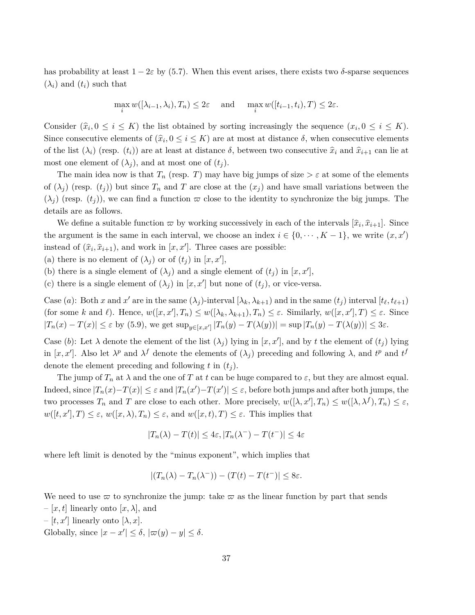has probability at least  $1 - 2\varepsilon$  by (5.7). When this event arises, there exists two  $\delta$ -sparse sequences  $(\lambda_i)$  and  $(t_i)$  such that

$$
\max_{i} w([\lambda_{i-1}, \lambda_i), T_n) \le 2\varepsilon \quad \text{and} \quad \max_{i} w([t_{i-1}, t_i), T) \le 2\varepsilon.
$$

Consider  $(\hat{x}_i, 0 \le i \le K)$  the list obtained by sorting increasingly the sequence  $(x_i, 0 \le i \le K)$ . Since consecutive elements of  $(\hat{x}_i, 0 \le i \le K)$  are at most at distance  $\delta$ , when consecutive elements of the list  $(\lambda_i)$  (resp.  $(t_i)$ ) are at least at distance  $\delta$ , between two consecutive  $\hat{x}_i$  and  $\hat{x}_{i+1}$  can lie at most one element of  $(\lambda_i)$ , and at most one of  $(t_i)$ .

The main idea now is that  $T_n$  (resp. *T*) may have big jumps of size  $>\varepsilon$  at some of the elements of  $(\lambda_j)$  (resp.  $(t_j)$ ) but since  $T_n$  and  $T$  are close at the  $(x_j)$  and have small variations between the  $(\lambda_i)$  (resp.  $(t_i)$ ), we can find a function  $\varpi$  close to the identity to synchronize the big jumps. The details are as follows.

We define a suitable function  $\varpi$  by working successively in each of the intervals  $[\hat{x}_i, \hat{x}_{i+1}]$ . Since the argument is the same in each interval, we choose an index  $i \in \{0, \dots, K-1\}$ , we write  $(x, x')$ instead of  $(\hat{x}_i, \hat{x}_{i+1})$ , and work in  $[x, x']$ . Three cases are possible:

(a) there is no element of  $(\lambda_j)$  or of  $(t_j)$  in  $[x, x']$ ,

(b) there is a single element of  $(\lambda_j)$  and a single element of  $(t_j)$  in  $[x, x']$ ,

(c) there is a single element of  $(\lambda_j)$  in  $[x, x']$  but none of  $(t_j)$ , or vice-versa.

Case (*a*): Both *x* and *x'* are in the same  $(\lambda_j)$ -interval  $[\lambda_k, \lambda_{k+1})$  and in the same  $(t_j)$  interval  $[t_\ell, t_{\ell+1})$ (for some k and l). Hence,  $w([x, x'], T_n) \leq w([\lambda_k, \lambda_{k+1}), T_n) \leq \varepsilon$ . Similarly,  $w([x, x'], T) \leq \varepsilon$ . Since  $|T_n(x) - T(x)| \leq \varepsilon$  by (5.9), we get  $\sup_{y \in [x,x']} |T_n(y) - T(\lambda(y))| = \sup |T_n(y) - T(\lambda(y))| \leq 3\varepsilon$ .

Case (b): Let  $\lambda$  denote the element of the list  $(\lambda_j)$  lying in  $[x, x']$ , and by t the element of  $(t_j)$  lying in  $[x, x']$ . Also let  $\lambda^p$  and  $\lambda^f$  denote the elements of  $(\lambda_j)$  preceding and following  $\lambda$ , and  $t^p$  and  $t^f$ denote the element preceding and following  $t$  in  $(t_i)$ .

The jump of  $T_n$  at  $\lambda$  and the one of  $T$  at  $t$  can be huge compared to  $\varepsilon$ , but they are almost equal. Indeed, since  $|T_n(x) - T(x)| \leq \varepsilon$  and  $|T_n(x') - T(x')| \leq \varepsilon$ , before both jumps and after both jumps, the two processes  $T_n$  and  $T$  are close to each other. More precisely,  $w([\lambda, x'], T_n) \leq w([\lambda, \lambda^f), T_n) \leq \varepsilon$ ,  $w([t, x'], T) \leq \varepsilon$ ,  $w([x, \lambda), T_n) \leq \varepsilon$ , and  $w([x, t), T) \leq \varepsilon$ . This implies that

$$
|T_n(\lambda) - T(t)| \le 4\varepsilon, |T_n(\lambda^-) - T(t^-)| \le 4\varepsilon
$$

where left limit is denoted by the "minus exponent", which implies that

$$
|(T_n(\lambda) - T_n(\lambda^-)) - (T(t) - T(t^-)| \le 8\varepsilon.
$$

We need to use  $\varpi$  to synchronize the jump: take  $\varpi$  as the linear function by part that sends

- $-[x, t]$  linearly onto  $[x, \lambda]$ , and
- $-[t, x']$  linearly onto  $[\lambda, x]$ .
- Globally, since  $|x x'| \leq \delta$ ,  $|\varpi(y) y| \leq \delta$ .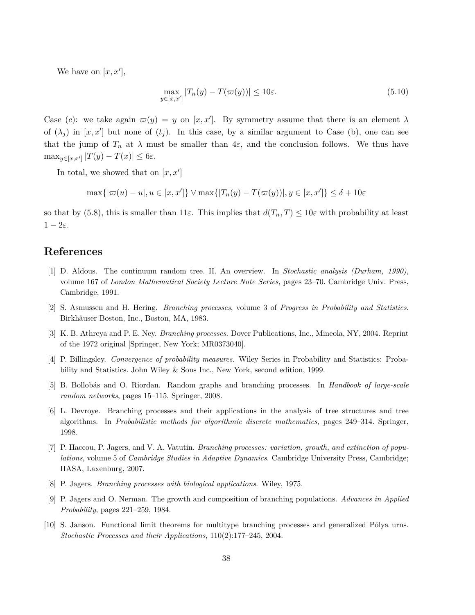We have on  $[x, x']$ ,

$$
\max_{y \in [x, x']} |T_n(y) - T(\varpi(y))| \le 10\varepsilon. \tag{5.10}
$$

Case (c): we take again  $\varpi(y) = y$  on  $[x, x']$ . By symmetry assume that there is an element  $\lambda$ of  $(\lambda_j)$  in  $[x, x']$  but none of  $(t_j)$ . In this case, by a similar argument to Case (b), one can see that the jump of  $T_n$  at  $\lambda$  must be smaller than  $4\varepsilon$ , and the conclusion follows. We thus have  $\max_{y \in [x, x']} |T(y) - T(x)| \leq 6\varepsilon.$ 

In total, we showed that on  $[x, x']$ 

$$
\max\{|\varpi(u) - u|, u \in [x, x']\} \vee \max\{|T_n(y) - T(\varpi(y))|, y \in [x, x']\} \le \delta + 10\varepsilon
$$

so that by (5.8), this is smaller than  $11\varepsilon$ . This implies that  $d(T_n, T) \leq 10\varepsilon$  with probability at least  $1 - 2\varepsilon$ .

### **References**

- [1] D. Aldous. The continuum random tree. II. An overview. In *Stochastic analysis (Durham, 1990)*, volume 167 of *London Mathematical Society Lecture Note Series*, pages 23–70. Cambridge Univ. Press, Cambridge, 1991.
- [2] S. Asmussen and H. Hering. *Branching processes*, volume 3 of *Progress in Probability and Statistics*. Birkhäuser Boston, Inc., Boston, MA, 1983.
- [3] K. B. Athreya and P. E. Ney. *Branching processes*. Dover Publications, Inc., Mineola, NY, 2004. Reprint of the 1972 original [Springer, New York; MR0373040].
- [4] P. Billingsley. *Convergence of probability measures*. Wiley Series in Probability and Statistics: Probability and Statistics. John Wiley & Sons Inc., New York, second edition, 1999.
- [5] B. Bollobás and O. Riordan. Random graphs and branching processes. In *Handbook of large-scale random networks*, pages 15–115. Springer, 2008.
- [6] L. Devroye. Branching processes and their applications in the analysis of tree structures and tree algorithms. In *Probabilistic methods for algorithmic discrete mathematics*, pages 249–314. Springer, 1998.
- [7] P. Haccou, P. Jagers, and V. A. Vatutin. *Branching processes: variation, growth, and extinction of populations*, volume 5 of *Cambridge Studies in Adaptive Dynamics*. Cambridge University Press, Cambridge; IIASA, Laxenburg, 2007.
- [8] P. Jagers. *Branching processes with biological applications*. Wiley, 1975.
- [9] P. Jagers and O. Nerman. The growth and composition of branching populations. *Advances in Applied Probability*, pages 221–259, 1984.
- [10] S. Janson. Functional limit theorems for multitype branching processes and generalized Pólya urns. *Stochastic Processes and their Applications*, 110(2):177–245, 2004.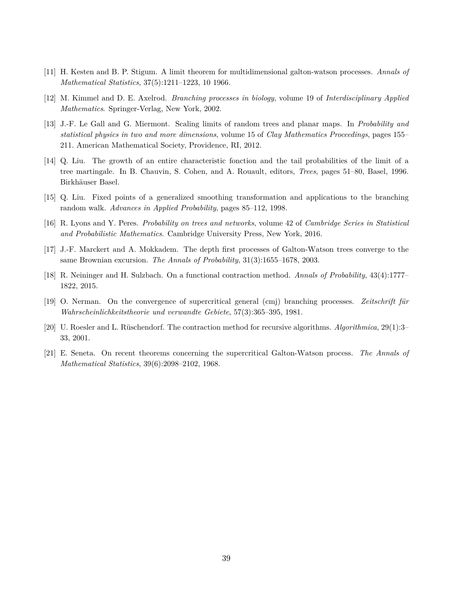- [11] H. Kesten and B. P. Stigum. A limit theorem for multidimensional galton-watson processes. *Annals of Mathematical Statistics*, 37(5):1211–1223, 10 1966.
- [12] M. Kimmel and D. E. Axelrod. *Branching processes in biology*, volume 19 of *Interdisciplinary Applied Mathematics*. Springer-Verlag, New York, 2002.
- [13] J.-F. Le Gall and G. Miermont. Scaling limits of random trees and planar maps. In *Probability and statistical physics in two and more dimensions*, volume 15 of *Clay Mathematics Proceedings*, pages 155– 211. American Mathematical Society, Providence, RI, 2012.
- [14] Q. Liu. The growth of an entire characteristic fonction and the tail probabilities of the limit of a tree martingale. In B. Chauvin, S. Cohen, and A. Rouault, editors, *Trees*, pages 51–80, Basel, 1996. Birkhäuser Basel.
- [15] Q. Liu. Fixed points of a generalized smoothing transformation and applications to the branching random walk. *Advances in Applied Probability*, pages 85–112, 1998.
- [16] R. Lyons and Y. Peres. *Probability on trees and networks*, volume 42 of *Cambridge Series in Statistical and Probabilistic Mathematics*. Cambridge University Press, New York, 2016.
- [17] J.-F. Marckert and A. Mokkadem. The depth first processes of Galton-Watson trees converge to the same Brownian excursion. *The Annals of Probability*, 31(3):1655–1678, 2003.
- [18] R. Neininger and H. Sulzbach. On a functional contraction method. *Annals of Probability*, 43(4):1777– 1822, 2015.
- [19] O. Nerman. On the convergence of supercritical general (cmj) branching processes. *Zeitschrift für Wahrscheinlichkeitstheorie und verwandte Gebiete*, 57(3):365–395, 1981.
- [20] U. Roesler and L. Rüschendorf. The contraction method for recursive algorithms. *Algorithmica*, 29(1):3– 33, 2001.
- [21] E. Seneta. On recent theorems concerning the supercritical Galton-Watson process. *The Annals of Mathematical Statistics*, 39(6):2098–2102, 1968.